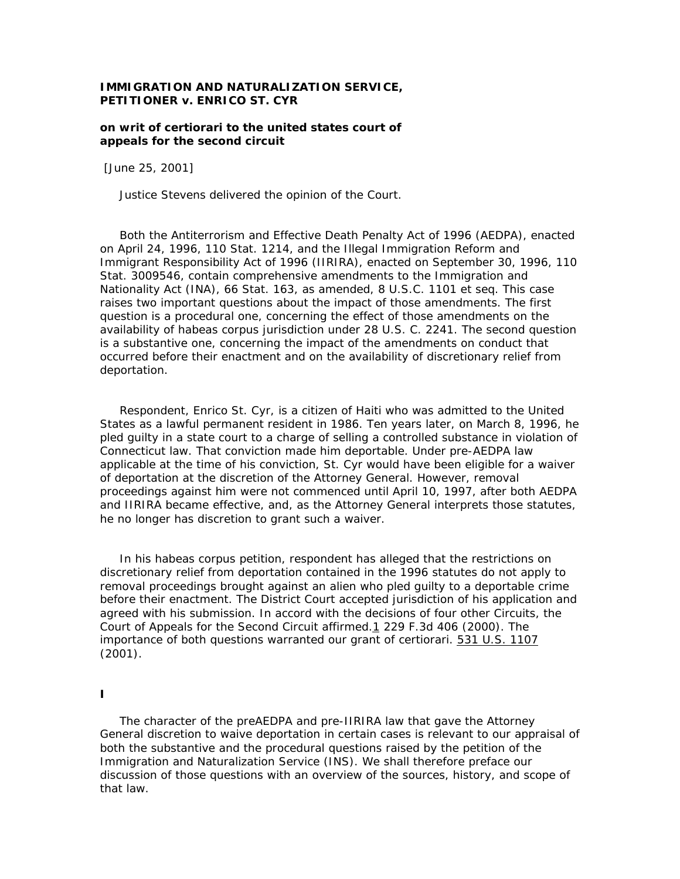## **IMMIGRATION AND NATURALIZATION SERVICE, PETITIONER** *v.* **ENRICO ST. CYR**

### **on writ of certiorari to the united states court of appeals for the second circuit**

[June 25, 2001]

*Justice Stevens* delivered the opinion of the Court.

 Both the Antiterrorism and Effective Death Penalty Act of 1996 (AEDPA), enacted on April 24, 1996, 110 Stat. 1214, and the Illegal Immigration Reform and Immigrant Responsibility Act of 1996 (IIRIRA), enacted on September 30, 1996, 110 Stat. 3009546, contain comprehensive amendments to the Immigration and Nationality Act (INA), 66 Stat. 163, as amended, 8 U.S.C. 1101 *et seq.* This case raises two important questions about the impact of those amendments. The first question is a procedural one, concerning the effect of those amendments on the availability of habeas corpus jurisdiction under 28 U.S. C. 2241. The second question is a substantive one, concerning the impact of the amendments on conduct that occurred before their enactment and on the availability of discretionary relief from deportation.

 Respondent, Enrico St. Cyr, is a citizen of Haiti who was admitted to the United States as a lawful permanent resident in 1986. Ten years later, on March 8, 1996, he pled guilty in a state court to a charge of selling a controlled substance in violation of Connecticut law. That conviction made him deportable. Under pre-AEDPA law applicable at the time of his conviction, St. Cyr would have been eligible for a waiver of deportation at the discretion of the Attorney General. However, removal proceedings against him were not commenced until April 10, 1997, after both AEDPA and IIRIRA became effective, and, as the Attorney General interprets those statutes, he no longer has discretion to grant such a waiver.

 In his habeas corpus petition, respondent has alleged that the restrictions on discretionary relief from deportation contained in the 1996 statutes do not apply to removal proceedings brought against an alien who pled guilty to a deportable crime before their enactment. The District Court accepted jurisdiction of his application and agreed with his submission. In accord with the decisions of four other Circuits, the Court of Appeals for the Second Circuit affirmed.1 229 F.3d 406 (2000). The importance of both questions warranted our grant of certiorari. 531 U.S. 1107 (2001).

#### **I**

 The character of the preAEDPA and pre-IIRIRA law that gave the Attorney General discretion to waive deportation in certain cases is relevant to our appraisal of both the substantive and the procedural questions raised by the petition of the Immigration and Naturalization Service (INS). We shall therefore preface our discussion of those questions with an overview of the sources, history, and scope of that law.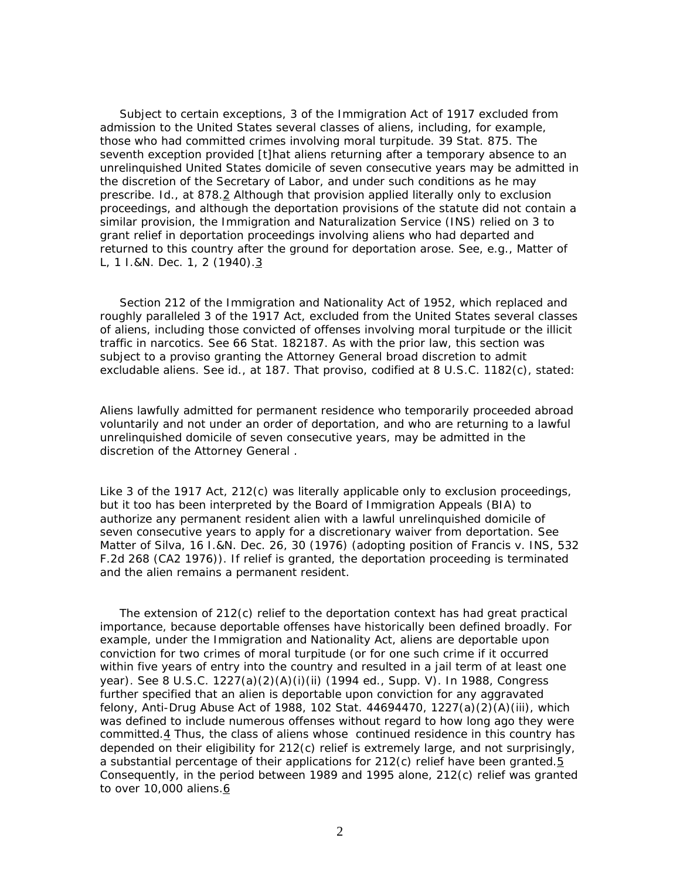Subject to certain exceptions, 3 of the Immigration Act of 1917 excluded from admission to the United States several classes of aliens, including, for example, those who had committed crimes involving moral turpitude. 39 Stat. 875. The seventh exception provided [t]hat aliens returning after a temporary absence to an unrelinquished United States domicile of seven consecutive years may be admitted in the discretion of the Secretary of Labor, and under such conditions as he may prescribe. *Id.*, at 878.2 Although that provision applied literally only to exclusion proceedings, and although the deportation provisions of the statute did not contain a similar provision, the Immigration and Naturalization Service (INS) relied on 3 to grant relief in deportation proceedings involving aliens who had departed and returned to this country after the ground for deportation arose. See, *e.g.*, *Matter of L*, 1 I.&N. Dec. 1, 2 (1940).<sup>3</sup>

 Section 212 of the Immigration and Nationality Act of 1952, which replaced and roughly paralleled 3 of the 1917 Act, excluded from the United States several classes of aliens, including those convicted of offenses involving moral turpitude or the illicit traffic in narcotics. See 66 Stat. 182187. As with the prior law, this section was subject to a proviso granting the Attorney General broad discretion to admit excludable aliens. See *id.*, at 187. That proviso, codified at 8 U.S.C. 1182(c), stated:

Aliens lawfully admitted for permanent residence who temporarily proceeded abroad voluntarily and not under an order of deportation, and who are returning to a lawful unrelinquished domicile of seven consecutive years, may be admitted in the discretion of the Attorney General .

Like 3 of the 1917 Act, 212(c) was literally applicable only to exclusion proceedings, but it too has been interpreted by the Board of Immigration Appeals (BIA) to authorize any permanent resident alien with a lawful unrelinquished domicile of seven consecutive years to apply for a discretionary waiver from deportation. See *Matter of Silva*, 16 I.&N. Dec. 26, 30 (1976) (adopting position of *Francis* v. *INS*, 532 F.2d 268 (CA2 1976)). If relief is granted, the deportation proceeding is terminated and the alien remains a permanent resident.

The extension of  $212(c)$  relief to the deportation context has had great practical importance, because deportable offenses have historically been defined broadly. For example, under the Immigration and Nationality Act, aliens are deportable upon conviction for two crimes of moral turpitude (or for one such crime if it occurred within five years of entry into the country and resulted in a jail term of at least one year). See 8 U.S.C. 1227(a)(2)(A)(i)(ii) (1994 ed., Supp. V). In 1988, Congress further specified that an alien is deportable upon conviction for any aggravated felony, Anti-Drug Abuse Act of 1988, 102 Stat. 44694470, 1227(a)(2)(A)(iii), which was defined to include numerous offenses without regard to how long ago they were committed.4 Thus, the class of aliens whose continued residence in this country has depended on their eligibility for 212(c) relief is extremely large, and not surprisingly, a substantial percentage of their applications for 212(c) relief have been granted.5 Consequently, in the period between 1989 and 1995 alone, 212(c) relief was granted to over 10,000 aliens.6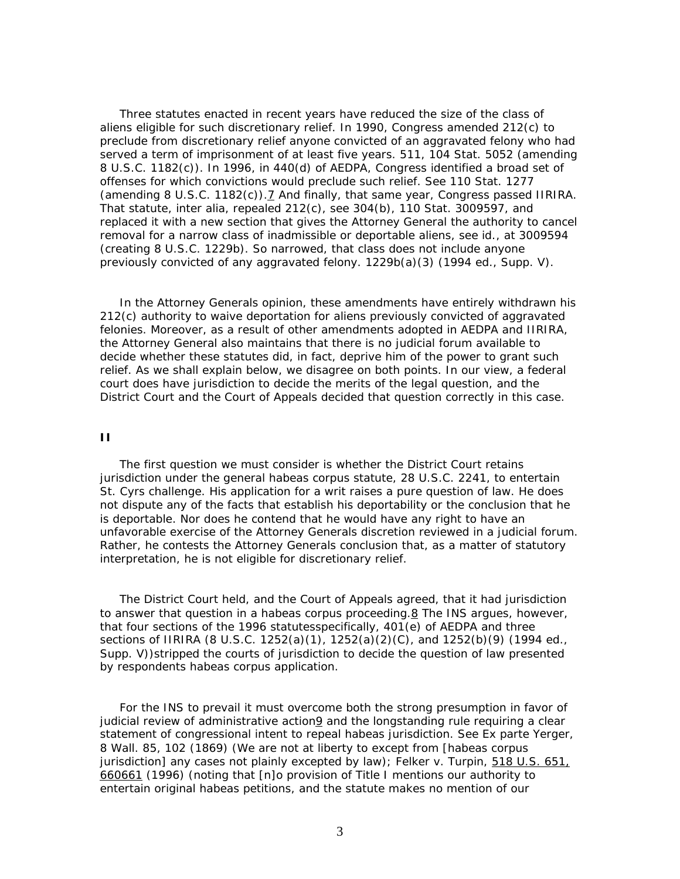Three statutes enacted in recent years have reduced the size of the class of aliens eligible for such discretionary relief. In 1990, Congress amended 212(c) to preclude from discretionary relief anyone convicted of an aggravated felony who had served a term of imprisonment of at least five years. 511, 104 Stat. 5052 (amending 8 U.S.C. 1182(c)). In 1996, in 440(d) of AEDPA, Congress identified a broad set of offenses for which convictions would preclude such relief. See 110 Stat. 1277 (amending 8 U.S.C. 1182 $(c)$ ).  $\overline{2}$  And finally, that same year, Congress passed IIRIRA. That statute, *inter alia*, repealed 212(c), see 304(b), 110 Stat. 3009597, and replaced it with a new section that gives the Attorney General the authority to cancel removal for a narrow class of inadmissible or deportable aliens, see *id.*, at 3009594 (creating 8 U.S.C. 1229b). So narrowed, that class does not include anyone previously convicted of any aggravated felony. 1229b(a)(3) (1994 ed., Supp. V).

 In the Attorney Generals opinion, these amendments have entirely withdrawn his 212(c) authority to waive deportation for aliens previously convicted of aggravated felonies. Moreover, as a result of other amendments adopted in AEDPA and IIRIRA, the Attorney General also maintains that there is no judicial forum available to decide whether these statutes did, in fact, deprive him of the power to grant such relief. As we shall explain below, we disagree on both points. In our view, a federal court does have jurisdiction to decide the merits of the legal question, and the District Court and the Court of Appeals decided that question correctly in this case.

#### **II**

 The first question we must consider is whether the District Court retains jurisdiction under the general habeas corpus statute, 28 U.S.C. 2241, to entertain St. Cyrs challenge. His application for a writ raises a pure question of law. He does not dispute any of the facts that establish his deportability or the conclusion that he is deportable. Nor does he contend that he would have any right to have an unfavorable exercise of the Attorney Generals discretion reviewed in a judicial forum. Rather, he contests the Attorney Generals conclusion that, as a matter of statutory interpretation, he is not eligible for discretionary relief.

 The District Court held, and the Court of Appeals agreed, that it had jurisdiction to answer that question in a habeas corpus proceeding.8 The INS argues, however, that four sections of the 1996 statutesspecifically, 401(e) of AEDPA and three sections of IIRIRA (8 U.S.C. 1252(a)(1), 1252(a)(2)(C), and 1252(b)(9) (1994 ed., Supp. V))stripped the courts of jurisdiction to decide the question of law presented by respondents habeas corpus application.

 For the INS to prevail it must overcome both the strong presumption in favor of judicial review of administrative action9 and the longstanding rule requiring a clear statement of congressional intent to repeal habeas jurisdiction. See *Ex parte Yerger*, 8 Wall. 85, 102 (1869) (We are not at liberty to except from [habeas corpus jurisdiction] any cases not plainly excepted by law); *Felker* v. *Turpin*, 518 U.S. 651, 660661 (1996) (noting that [n]o provision of Title I mentions our authority to entertain original habeas petitions, and the statute makes no mention of our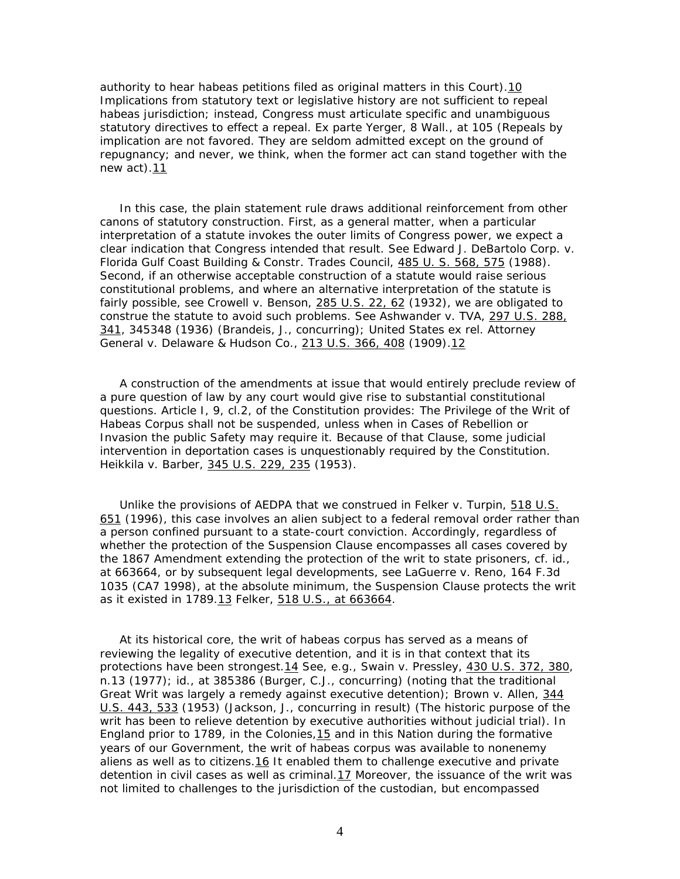authority to hear habeas petitions filed as original matters in this Court).10 Implications from statutory text or legislative history are not sufficient to repeal habeas jurisdiction; instead, Congress must articulate specific and unambiguous statutory directives to effect a repeal. *Ex parte Yerger*, 8 Wall., at 105 (Repeals by implication are not favored. They are seldom admitted except on the ground of repugnancy; and never, we think, when the former act can stand together with the new act).11

 In this case, the plain statement rule draws additional reinforcement from other canons of statutory construction. First, as a general matter, when a particular interpretation of a statute invokes the outer limits of Congress power, we expect a clear indication that Congress intended that result. See *Edward J. DeBartolo Corp*. v. *Florida Gulf Coast Building & Constr. Trades Council*, 485 U. S. 568, 575 (1988). Second, if an otherwise acceptable construction of a statute would raise serious constitutional problems, and where an alternative interpretation of the statute is fairly possible, see *Crowell* v. *Benson*, 285 U.S. 22, 62 (1932), we are obligated to construe the statute to avoid such problems. See *Ashwander* v. *TVA*, 297 U.S. 288, 341, 345348 (1936) (Brandeis, J., concurring); *United States ex rel. Attorney General* v. *Delaware & Hudson Co.*, 213 U.S. 366, 408 (1909).12

 A construction of the amendments at issue that would entirely preclude review of a pure question of law by any court would give rise to substantial constitutional questions. Article I, 9, cl.2, of the Constitution provides: The Privilege of the Writ of Habeas Corpus shall not be suspended, unless when in Cases of Rebellion or Invasion the public Safety may require it. Because of that Clause, some judicial intervention in deportation cases is unquestionably required by the Constitution. *Heikkila* v. *Barber,* 345 U.S. 229, 235 (1953).

 Unlike the provisions of AEDPA that we construed in *Felker* v. *Turpin,* 518 U.S. 651 (1996), this case involves an alien subject to a federal removal order rather than a person confined pursuant to a state-court conviction. Accordingly, regardless of whether the protection of the Suspension Clause encompasses all cases covered by the 1867 Amendment extending the protection of the writ to state prisoners, cf. *id.,* at 663664, or by subsequent legal developments, see *LaGuerre* v*. Reno,* 164 F.3d 1035 (CA7 1998), at the absolute minimum, the Suspension Clause protects the writ as it existed in 1789.13 *Felker,* 518 U.S., at 663664.

 At its historical core, the writ of habeas corpus has served as a means of reviewing the legality of executive detention, and it is in that context that its protections have been strongest.14 See, *e.g.*, *Swain* v. *Pressley,* 430 U.S. 372, 380, n.13 (1977); *id.*, at 385386 (Burger, C.J., concurring) (noting that the traditional Great Writ was largely a remedy against executive detention); *Brown* v. *Allen,* 344 U.S. 443, 533 (1953) (Jackson, J., concurring in result) (The historic purpose of the writ has been to relieve detention by executive authorities without judicial trial). In England prior to 1789, in the Colonies,15 and in this Nation during the formative years of our Government, the writ of habeas corpus was available to nonenemy aliens as well as to citizens.16 It enabled them to challenge executive and private detention in civil cases as well as criminal. $17$  Moreover, the issuance of the writ was not limited to challenges to the jurisdiction of the custodian, but encompassed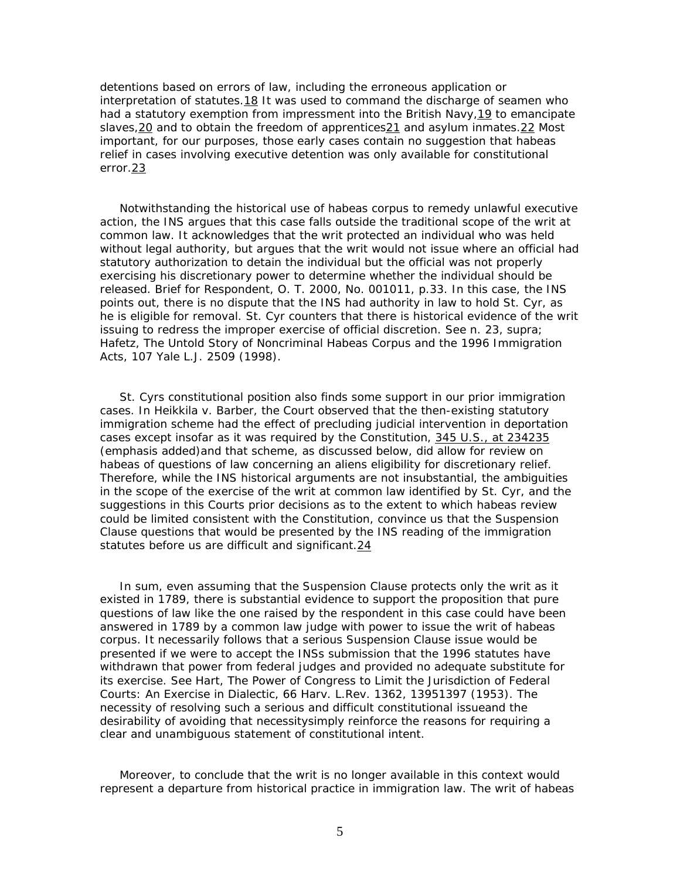detentions based on errors of law, including the erroneous application or interpretation of statutes.18 It was used to command the discharge of seamen who had a statutory exemption from impressment into the British Navy,19 to emancipate slaves,  $20$  and to obtain the freedom of apprentices $21$  and asylum inmates.  $22$  Most important, for our purposes, those early cases contain no suggestion that habeas relief in cases involving executive detention was only available for constitutional error.23

 Notwithstanding the historical use of habeas corpus to remedy unlawful executive action, the INS argues that this case falls outside the traditional scope of the writ at common law. It acknowledges that the writ protected an individual who was held without legal authority, but argues that the writ would not issue where an official had statutory authorization to detain the individual but the official was not properly exercising his discretionary power to determine whether the individual should be released. Brief for Respondent, O. T. 2000, No. 001011, p.33. In this case, the INS points out, there is no dispute that the INS had authority in law to hold St. Cyr, as he is eligible for removal. St. Cyr counters that there is historical evidence of the writ issuing to redress the improper exercise of official discretion. See n. 23, *supra*; Hafetz, The Untold Story of Noncriminal Habeas Corpus and the 1996 Immigration Acts, 107 Yale L.J. 2509 (1998).

 St. Cyrs constitutional position also finds some support in our prior immigration cases. In *Heikkila* v. *Barber*, the Court observed that the then-existing statutory immigration scheme had the effect of precluding judicial intervention in deportation cases *except insofar as it was required by the Constitution,* 345 U.S., at 234235 (emphasis added)and that scheme, as discussed below, did allow for review on habeas of questions of law concerning an aliens eligibility for discretionary relief. Therefore, while the INS historical arguments are not insubstantial, the ambiguities in the scope of the exercise of the writ at common law identified by St. Cyr, and the suggestions in this Courts prior decisions as to the extent to which habeas review could be limited consistent with the Constitution, convince us that the Suspension Clause questions that would be presented by the INS reading of the immigration statutes before us are difficult and significant.24

 In sum, even assuming that the Suspension Clause protects only the writ as it existed in 1789, there is substantial evidence to support the proposition that pure questions of law like the one raised by the respondent in this case could have been answered in 1789 by a common law judge with power to issue the writ of habeas corpus. It necessarily follows that a serious Suspension Clause issue would be presented if we were to accept the INSs submission that the 1996 statutes have withdrawn that power from federal judges and provided no adequate substitute for its exercise. See Hart, The Power of Congress to Limit the Jurisdiction of Federal Courts: An Exercise in Dialectic, 66 Harv. L.Rev. 1362, 13951397 (1953). The necessity of resolving such a serious and difficult constitutional issueand the desirability of avoiding that necessitysimply reinforce the reasons for requiring a clear and unambiguous statement of constitutional intent.

 Moreover, to conclude that the writ is no longer available in this context would represent a departure from historical practice in immigration law. The writ of habeas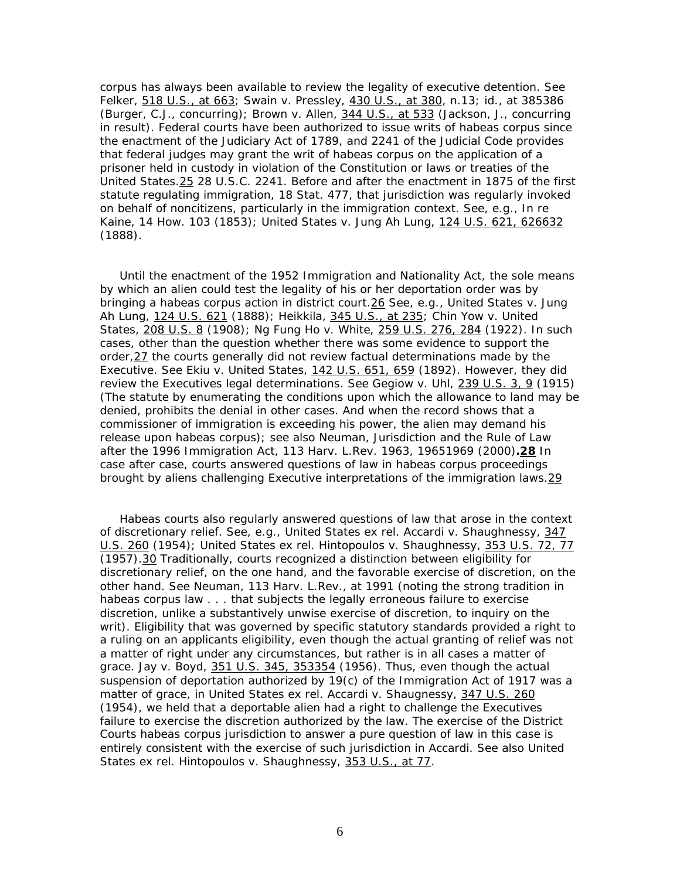corpus has always been available to review the legality of executive detention. See *Felker*, 518 U.S., at 663; *Swain* v. *Pressley,* 430 U.S., at 380, n.13; *id.*, at 385386 (Burger, C.J., concurring); *Brown* v. *Allen,* 344 U.S., at 533 (Jackson, J., concurring in result). Federal courts have been authorized to issue writs of habeas corpus since the enactment of the Judiciary Act of 1789, and 2241 of the Judicial Code provides that federal judges may grant the writ of habeas corpus on the application of a prisoner held in custody in violation of the Constitution or laws or treaties of the United States.25 28 U.S.C. 2241. Before and after the enactment in 1875 of the first statute regulating immigration, 18 Stat. 477, that jurisdiction was regularly invoked on behalf of noncitizens, particularly in the immigration context. See, *e.g.*, *In re Kaine,* 14 How. 103 (1853); *United States* v. *Jung Ah Lung,* 124 U.S. 621, 626632 (1888).

 Until the enactment of the 1952 Immigration and Nationality Act, the sole means by which an alien could test the legality of his or her deportation order was by bringing a habeas corpus action in district court.26 See, *e.g.*, *United States* v. *Jung Ah Lung*, 124 U.S. 621 (1888); *Heikkila*, 345 U.S., at 235; *Chin Yow* v. *United States,* 208 U.S. 8 (1908); *Ng Fung Ho* v. *White*, 259 U.S. 276, 284 (1922). In such cases, other than the question whether there was some evidence to support the order,27 the courts generally did not review factual determinations made by the Executive. See *Ekiu* v. *United States,* 142 U.S. 651, 659 (1892). However, they did review the Executives legal determinations. See *Gegiow* v. *Uhl,* 239 U.S. 3, 9 (1915) (The statute by enumerating the conditions upon which the allowance to land may be denied, prohibits the denial in other cases. And when the record shows that a commissioner of immigration is exceeding his power, the alien may demand his release upon *habeas corpus*); see also Neuman, Jurisdiction and the Rule of Law after the 1996 Immigration Act, 113 Harv. L.Rev. 1963, 19651969 (2000)**.28** In case after case, courts answered questions of law in habeas corpus proceedings brought by aliens challenging Executive interpretations of the immigration laws.29

 Habeas courts also regularly answered questions of law that arose in the context of discretionary relief. See, *e.g.*, *United States ex rel. Accardi* v. *Shaughnessy*, 347 U.S. 260 (1954); *United States ex rel. Hintopoulos* v. *Shaughnessy*, 353 U.S. 72, 77 (1957).30 Traditionally, courts recognized a distinction between eligibility for discretionary relief, on the one hand, and the favorable exercise of discretion, on the other hand. See Neuman, 113 Harv. L.Rev., at 1991 (noting the strong tradition in habeas corpus law . . . that subjects the legally erroneous failure to exercise discretion, unlike a substantively unwise exercise of discretion, to inquiry on the writ). Eligibility that was governed by specific statutory standards provided a right to a ruling on an applicants eligibility, even though the actual granting of relief was not a matter of right under any circumstances, but rather is in all cases a matter of grace. *Jay* v. *Boyd,* 351 U.S. 345, 353354 (1956). Thus, even though the actual suspension of deportation authorized by 19(c) of the Immigration Act of 1917 was a matter of grace, in *United States ex rel. Accardi* v. *Shaugnessy,* 347 U.S. 260 (1954), we held that a deportable alien had a right to challenge the Executives failure to exercise the discretion authorized by the law. The exercise of the District Courts habeas corpus jurisdiction to answer a pure question of law in this case is entirely consistent with the exercise of such jurisdiction in *Accardi.* See also *United States ex rel. Hintopoulos* v. *Shaughnessy*, 353 U.S., at 77*.*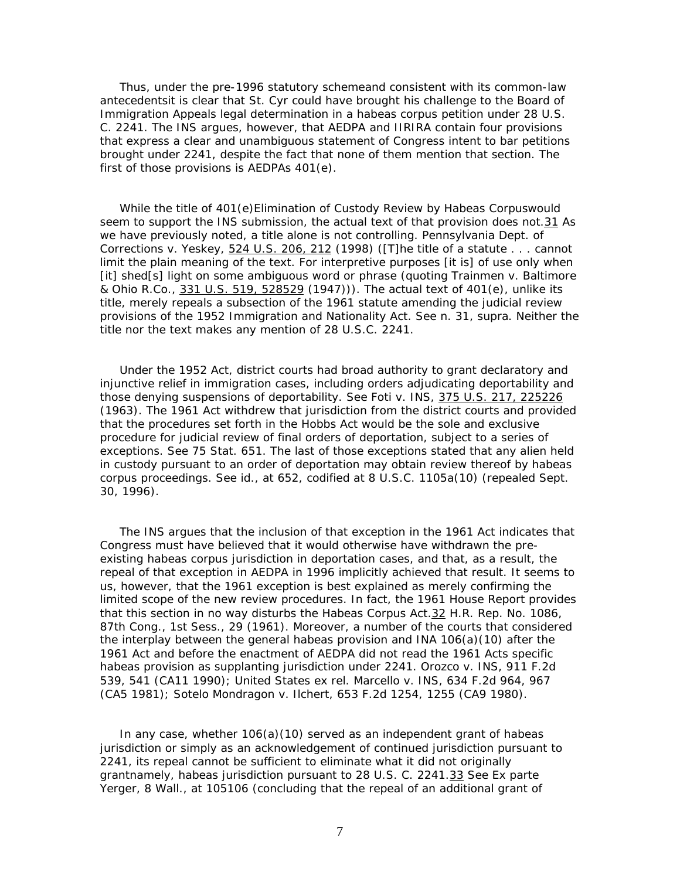Thus, under the pre-1996 statutory schemeand consistent with its common-law antecedentsit is clear that St. Cyr could have brought his challenge to the Board of Immigration Appeals legal determination in a habeas corpus petition under 28 U.S. C. 2241. The INS argues, however, that AEDPA and IIRIRA contain four provisions that express a clear and unambiguous statement of Congress intent to bar petitions brought under 2241, despite the fact that none of them mention that section. The first of those provisions is AEDPAs 401(e).

 While the title of 401(e)*Elimination of Custody Review by Habeas Corpus*would seem to support the INS submission, the actual text of that provision does not.31 As we have previously noted, a title alone is not controlling. *Pennsylvania Dept. of Corrections* v. *Yeskey*, 524 U.S. 206, 212 (1998) ([T]he title of a statute . . . cannot limit the plain meaning of the text. For interpretive purposes [it is] of use only when [it] shed[s] light on some ambiguous word or phrase (quoting *Trainmen* v. *Baltimore & Ohio R.Co.,* 331 U.S. 519, 528529 (1947))). The actual text of 401(e), unlike its title, merely repeals a subsection of the 1961 statute amending the judicial review provisions of the 1952 Immigration and Nationality Act. See n. 31, *supra*. Neither the title nor the text makes any mention of 28 U.S.C. 2241.

 Under the 1952 Act, district courts had broad authority to grant declaratory and injunctive relief in immigration cases, including orders adjudicating deportability and those denying suspensions of deportability. See *Foti* v. *INS,* 375 U.S. 217, 225226 (1963). The 1961 Act withdrew that jurisdiction from the district courts and provided that the procedures set forth in the Hobbs Act would be the sole and exclusive procedure for judicial review of final orders of deportation, subject to a series of exceptions. See 75 Stat. 651. The last of those exceptions stated that any alien held in custody pursuant to an order of deportation may obtain review thereof by habeas corpus proceedings. See *id.,* at 652, codified at 8 U.S.C. 1105a(10) (repealed Sept. 30, 1996).

 The INS argues that the inclusion of that exception in the 1961 Act indicates that Congress must have believed that it would otherwise have withdrawn the preexisting habeas corpus jurisdiction in deportation cases, and that, as a result, the repeal of that exception in AEDPA in 1996 implicitly achieved that result. It seems to us, however, that the 1961 exception is best explained as merely confirming the limited scope of the new review procedures. In fact, the 1961 House Report provides that this section in no way disturbs the Habeas Corpus Act.32 H.R. Rep. No. 1086, 87th Cong., 1st Sess., 29 (1961). Moreover, a number of the courts that considered the interplay between the general habeas provision and INA 106(a)(10) after the 1961 Act and before the enactment of AEDPA did not read the 1961 Acts specific habeas provision as supplanting jurisdiction under 2241. *Orozco* v. *INS,* 911 F.2d 539, 541 (CA11 1990); *United States ex rel. Marcello* v. *INS*, 634 F.2d 964, 967 (CA5 1981); *Sotelo Mondragon* v. *Ilchert*, 653 F.2d 1254, 1255 (CA9 1980).

In any case, whether  $106(a)(10)$  served as an independent grant of habeas jurisdiction or simply as an acknowledgement of continued jurisdiction pursuant to 2241, its repeal cannot be sufficient to eliminate what it did not originally grantnamely, habeas jurisdiction pursuant to 28 U.S. C. 2241.33 See *Ex parte Yerger*, 8 Wall., at 105106 (concluding that the repeal of an additional grant of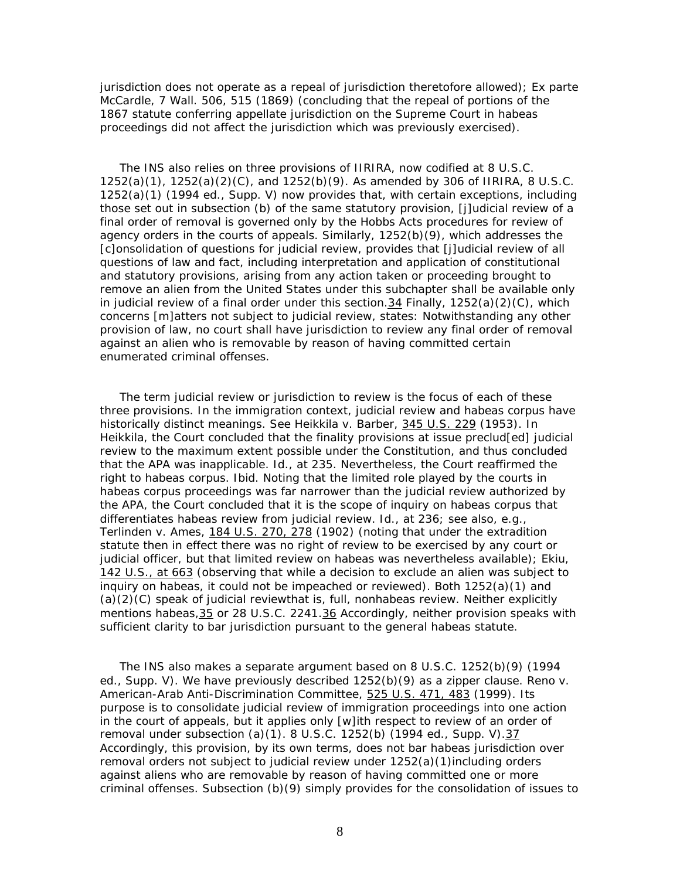jurisdiction does not operate as a repeal of jurisdiction theretofore allowed); *Ex parte McCardle*, 7 Wall. 506, 515 (1869) (concluding that the repeal of portions of the 1867 statute conferring appellate jurisdiction on the Supreme Court in habeas proceedings did not affect the jurisdiction which was previously exercised).

 The INS also relies on three provisions of IIRIRA, now codified at 8 U.S.C.  $1252(a)(1)$ ,  $1252(a)(2)(C)$ , and  $1252(b)(9)$ . As amended by 306 of IIRIRA, 8 U.S.C. 1252(a)(1) (1994 ed., Supp. V) now provides that, with certain exceptions, including those set out in subsection (b) of the same statutory provision, [j]udicial review of a final order of removal is governed only by the Hobbs Acts procedures for review of agency orders in the courts of appeals. Similarly, 1252(b)(9), which addresses the [c]onsolidation of questions for judicial review, provides that [j]udicial review of all questions of law and fact, including interpretation and application of constitutional and statutory provisions, arising from any action taken or proceeding brought to remove an alien from the United States under this subchapter shall be available only in judicial review of a final order under this section. 34 Finally,  $1252(a)(2)(C)$ , which concerns [m]atters not subject to judicial review, states: Notwithstanding any other provision of law, no court shall have jurisdiction to review any final order of removal against an alien who is removable by reason of having committed certain enumerated criminal offenses.

 The term judicial review or jurisdiction to review is the focus of each of these three provisions. In the immigration context, judicial review and habeas corpus have historically distinct meanings. See *Heikkila* v. *Barber,* 345 U.S. 229 (1953). In *Heikkila*, the Court concluded that the finality provisions at issue preclud[ed] judicial review to the maximum extent possible under the Constitution, and thus concluded that the APA was inapplicable. *Id.,* at 235. Nevertheless, the Court reaffirmed the right to habeas corpus. *Ibid.* Noting that the limited role played by the courts in habeas corpus proceedings was far narrower than the judicial review authorized by the APA, the Court concluded that it is the scope of inquiry on habeas corpus that differentiates habeas review from judicial review. *Id.,* at 236; see also, *e.g., Terlinden* v. *Ames*, 184 U.S. 270, 278 (1902) (noting that under the extradition statute then in effect there was no right of review to be exercised by any court or judicial officer, but that limited review on habeas was nevertheless available); *Ekiu*, 142 U.S., at 663 (observing that while a decision to exclude an alien was subject to inquiry on habeas, it could not be impeached or reviewed). Both  $1252(a)(1)$  and  $(a)(2)(C)$  speak of judicial reviewthat is, full, nonhabeas review. Neither explicitly mentions habeas, 35 or 28 U.S.C. 2241.36 Accordingly, neither provision speaks with sufficient clarity to bar jurisdiction pursuant to the general habeas statute.

 The INS also makes a separate argument based on 8 U.S.C. 1252(b)(9) (1994 ed., Supp. V). We have previously described 1252(b)(9) as a zipper clause. *Reno* v. *American-Arab Anti-Discrimination Committee*, 525 U.S. 471, 483 (1999). Its purpose is to consolidate judicial review of immigration proceedings into one action in the court of appeals, but it applies only [w]ith respect to review of an order of removal under subsection (a)(1). 8 U.S.C. 1252(b) (1994 ed., Supp. V).37 Accordingly, this provision, by its own terms, does not bar habeas jurisdiction over removal orders *not* subject to judicial review under 1252(a)(1)including orders against aliens who are removable by reason of having committed one or more criminal offenses. Subsection  $(b)(9)$  simply provides for the consolidation of issues to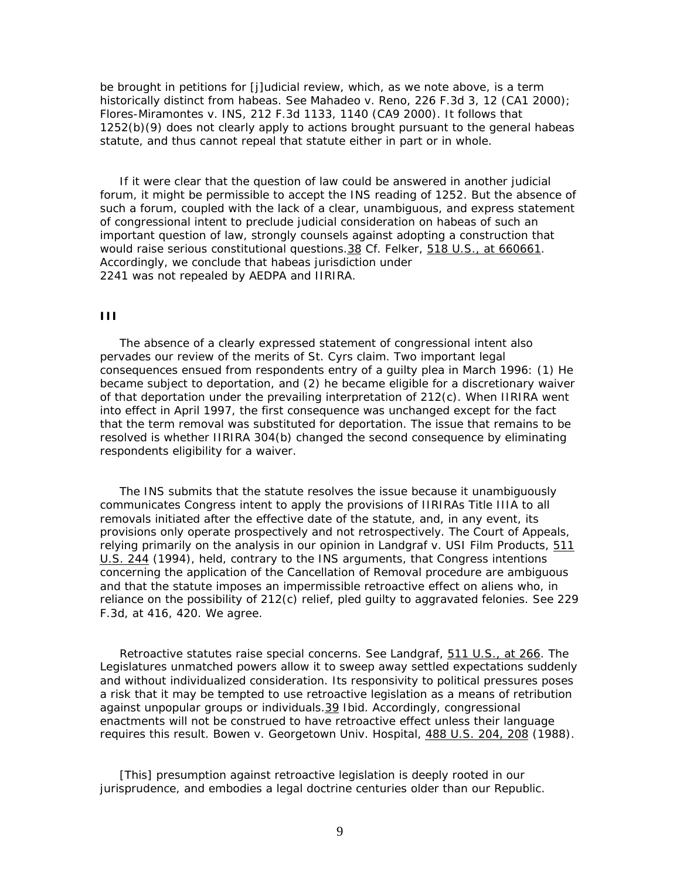be brought in petitions for [j]udicial review, which, as we note above, is a term historically distinct from habeas. See *Mahadeo* v. *Reno*, 226 F.3d 3, 12 (CA1 2000); *Flores-Miramontes* v. *INS*, 212 F.3d 1133, 1140 (CA9 2000). It follows that 1252(b)(9) does not clearly apply to actions brought pursuant to the general habeas statute, and thus cannot repeal that statute either in part or in whole.

 If it were clear that the question of law could be answered in another judicial forum, it might be permissible to accept the INS reading of 1252. But the absence of such a forum, coupled with the lack of a clear, unambiguous, and express statement of congressional intent to preclude judicial consideration on habeas of such an important question of law, strongly counsels against adopting a construction that would raise serious constitutional questions.38 Cf. *Felker*, 518 U.S., at 660661*.* Accordingly, we conclude that habeas jurisdiction under 2241 was not repealed by AEDPA and IIRIRA.

#### **III**

 The absence of a clearly expressed statement of congressional intent also pervades our review of the merits of St. Cyrs claim. Two important legal consequences ensued from respondents entry of a guilty plea in March 1996: (1) He became subject to deportation, and (2) he became eligible for a discretionary waiver of that deportation under the prevailing interpretation of 212(c). When IIRIRA went into effect in April 1997, the first consequence was unchanged except for the fact that the term removal was substituted for deportation. The issue that remains to be resolved is whether IIRIRA 304(b) changed the second consequence by eliminating respondents eligibility for a waiver.

 The INS submits that the statute resolves the issue because it unambiguously communicates Congress intent to apply the provisions of IIRIRAs Title IIIA to all removals initiated after the effective date of the statute, and, in any event, its provisions only operate prospectively and not retrospectively. The Court of Appeals, relying primarily on the analysis in our opinion in *Landgraf* v. *USI Film Products*, 511 U.S. 244 (1994), held, contrary to the INS arguments, that Congress intentions concerning the application of the Cancellation of Removal procedure are ambiguous and that the statute imposes an impermissible retroactive effect on aliens who, in reliance on the possibility of 212(c) relief, pled guilty to aggravated felonies. See 229 F.3d, at 416, 420. We agree.

 Retroactive statutes raise special concerns. See *Landgraf*, 511 U.S., at 266. The Legislatures unmatched powers allow it to sweep away settled expectations suddenly and without individualized consideration. Its responsivity to political pressures poses a risk that it may be tempted to use retroactive legislation as a means of retribution against unpopular groups or individuals.39 *Ibid*. Accordingly, congressional enactments will not be construed to have retroactive effect unless their language requires this result. *Bowen* v. *Georgetown Univ. Hospital,* 488 U.S. 204, 208 (1988).

 [This] presumption against retroactive legislation is deeply rooted in our jurisprudence, and embodies a legal doctrine centuries older than our Republic.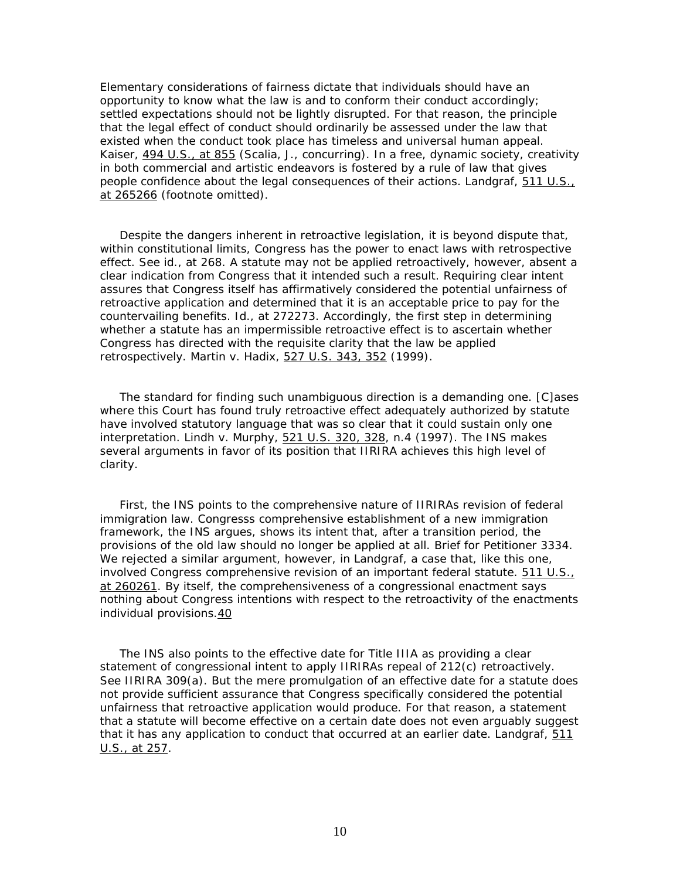Elementary considerations of fairness dictate that individuals should have an opportunity to know what the law is and to conform their conduct accordingly; settled expectations should not be lightly disrupted. For that reason, the principle that the legal effect of conduct should ordinarily be assessed under the law that existed when the conduct took place has timeless and universal human appeal. *Kaiser*, 494 U.S., at 855 (*Scalia, J.*, concurring). In a free, dynamic society, creativity in both commercial and artistic endeavors is fostered by a rule of law that gives people confidence about the legal consequences of their actions. *Landgraf*, 511 U.S., at 265266 (footnote omitted).

 Despite the dangers inherent in retroactive legislation, it is beyond dispute that, within constitutional limits, Congress has the power to enact laws with retrospective effect. See *id.*, at 268. A statute may not be applied retroactively, however, absent a clear indication from Congress that it intended such a result. Requiring clear intent assures that Congress itself has affirmatively considered the potential unfairness of retroactive application and determined that it is an acceptable price to pay for the countervailing benefits. *Id.*, at 272273. Accordingly, the first step in determining whether a statute has an impermissible retroactive effect is to ascertain whether Congress has directed with the requisite clarity that the law be applied retrospectively. *Martin* v. *Hadix*, 527 U.S. 343, 352 (1999).

 The standard for finding such unambiguous direction is a demanding one. [C]ases where this Court has found truly retroactive effect adequately authorized by statute have involved statutory language that was so clear that it could sustain only one interpretation. *Lindh* v. *Murphy,* 521 U.S. 320, 328, n.4 (1997). The INS makes several arguments in favor of its position that IIRIRA achieves this high level of clarity.

 First, the INS points to the comprehensive nature of IIRIRAs revision of federal immigration law. Congresss comprehensive establishment of a new immigration framework, the INS argues, shows its intent that, after a transition period, the provisions of the old law should no longer be applied at all. Brief for Petitioner 3334. We rejected a similar argument, however, in *Landgraf*, a case that, like this one, involved Congress comprehensive revision of an important federal statute. 511 U.S., at 260261. By itself, the comprehensiveness of a congressional enactment says nothing about Congress intentions with respect to the retroactivity of the enactments individual provisions.40

 The INS also points to the effective date for Title IIIA as providing a clear statement of congressional intent to apply IIRIRAs repeal of 212(c) retroactively. See IIRIRA 309(a). But the mere promulgation of an effective date for a statute does not provide sufficient assurance that Congress specifically considered the potential unfairness that retroactive application would produce. For that reason, a statement that a statute will become effective on a certain date does not even arguably suggest that it has any application to conduct that occurred at an earlier date. *Landgraf*, 511 U.S., at 257.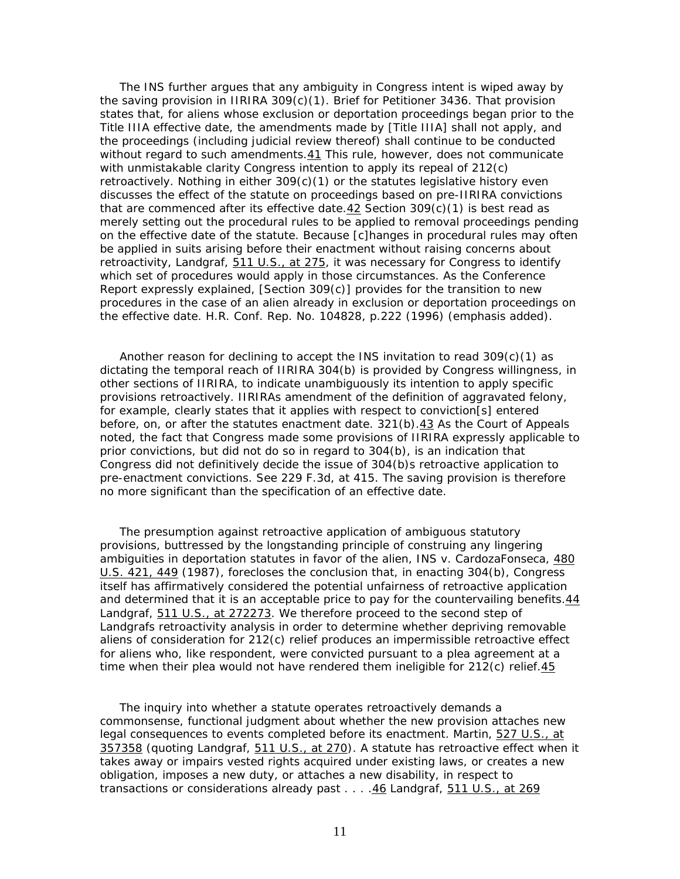The INS further argues that any ambiguity in Congress intent is wiped away by the saving provision in IIRIRA  $309(c)(1)$ . Brief for Petitioner 3436. That provision states that, for aliens whose exclusion or deportation proceedings began prior to the Title IIIA effective date, the amendments made by [Title IIIA] shall not apply, and the proceedings (including judicial review thereof) shall continue to be conducted without regard to such amendments.41 This rule, however, does not communicate with unmistakable clarity Congress intention to apply its repeal of 212(c) retroactively. Nothing in either  $309(c)(1)$  or the statutes legislative history even discusses the effect of the statute on proceedings based on pre-IIRIRA convictions that are commenced *after* its effective date.42 Section 309(c)(1) is best read as merely setting out the *procedural* rules to be applied to removal proceedings pending on the effective date of the statute. Because [c]hanges in procedural rules may often be applied in suits arising before their enactment without raising concerns about retroactivity, *Landgraf*, 511 U.S., at 275, it was necessary for Congress to identify which set of procedures would apply in those circumstances. As the Conference Report expressly explained,  $[Section 309(c)]$  provides for the transition to new *procedures* in the case of an alien already in exclusion or deportation proceedings on the effective date. H.R. Conf. Rep. No. 104828, p.222 (1996) (emphasis added).

Another reason for declining to accept the INS invitation to read  $309(c)(1)$  as dictating the temporal reach of IIRIRA 304(b) is provided by Congress willingness, in other sections of IIRIRA, to indicate unambiguously its intention to apply specific provisions retroactively. IIRIRAs amendment of the definition of aggravated felony, for example, clearly states that it applies with respect to conviction[s] entered before, on, or after the statutes enactment date. 321(b).43 As the Court of Appeals noted, the fact that Congress made some provisions of IIRIRA expressly applicable to prior convictions, but did not do so in regard to 304(b), is an indication that Congress did not definitively decide the issue of 304(b)s retroactive application to pre-enactment convictions. See 229 F.3d, at 415. The saving provision is therefore no more significant than the specification of an effective date.

 The presumption against retroactive application of ambiguous statutory provisions, buttressed by the longstanding principle of construing any lingering ambiguities in deportation statutes in favor of the alien, *INS* v. *CardozaFonseca,* 480 U.S. 421, 449 (1987), forecloses the conclusion that, in enacting 304(b), Congress itself has affirmatively considered the potential unfairness of retroactive application and determined that it is an acceptable price to pay for the countervailing benefits.44 *Landgraf*, 511 U.S., at 272273. We therefore proceed to the second step of *Landgraf*s retroactivity analysis in order to determine whether depriving removable aliens of consideration for 212(c) relief produces an impermissible retroactive effect for aliens who, like respondent, were convicted pursuant to a plea agreement at a time when their plea would not have rendered them ineligible for  $212(c)$  relief. 45

 The inquiry into whether a statute operates retroactively demands a commonsense, functional judgment about whether the new provision attaches new legal consequences to events completed before its enactment. *Martin,* 527 U.S., at 357358 (quoting *Landgraf*, 511 U.S., at 270). A statute has retroactive effect when it takes away or impairs vested rights acquired under existing laws, or creates a new obligation, imposes a new duty, or attaches a new disability, in respect to transactions or considerations already past . . . .46 *Landgraf*, 511 U.S., at 269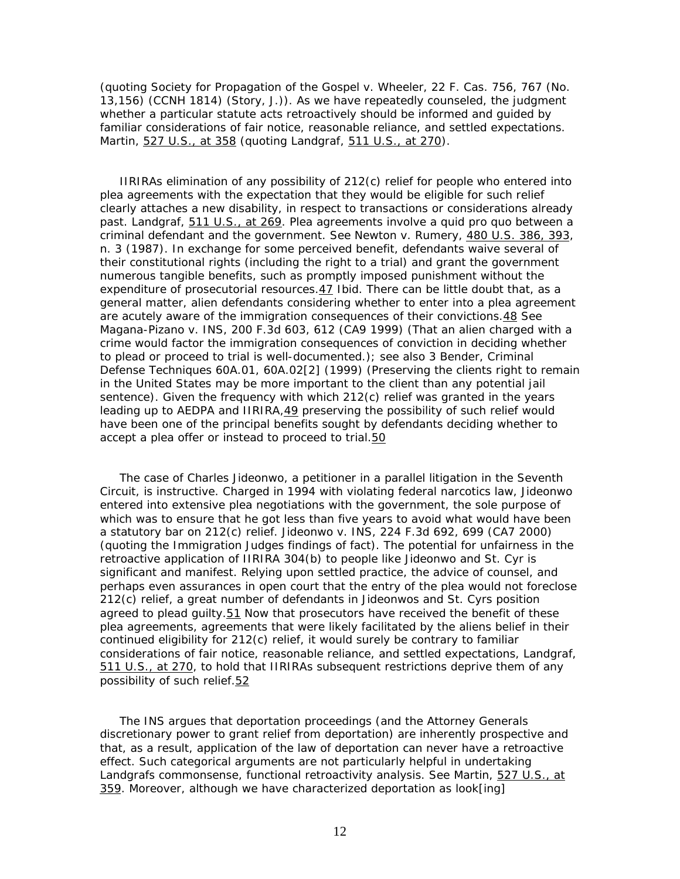(quoting *Society for Propagation of the Gospel* v. *Wheeler*, 22 F. Cas. 756, 767 (No. 13,156) (CCNH 1814) (Story, J.)). As we have repeatedly counseled, the judgment whether a particular statute acts retroactively should be informed and guided by familiar considerations of fair notice, reasonable reliance, and settled expectations. *Martin*, 527 U.S., at 358 (quoting *Landgraf*, 511 U.S., at 270).

 IIRIRAs elimination of any possibility of 212(c) relief for people who entered into plea agreements with the expectation that they would be eligible for such relief clearly attaches a new disability, in respect to transactions or considerations already past. *Landgraf*, 511 U.S., at 269. Plea agreements involve a *quid pro quo* between a criminal defendant and the government. See *Newton* v. *Rumery,* 480 U.S. 386, 393, n. 3 (1987). In exchange for some perceived benefit, defendants waive several of their constitutional rights (including the right to a trial) and grant the government numerous tangible benefits, such as promptly imposed punishment without the expenditure of prosecutorial resources.47 *Ibid.* There can be little doubt that, as a general matter, alien defendants considering whether to enter into a plea agreement are acutely aware of the immigration consequences of their convictions.48 See *Magana-Pizano* v. *INS*, 200 F.3d 603, 612 (CA9 1999) (That an alien charged with a crime would factor the immigration consequences of conviction in deciding whether to plead or proceed to trial is well-documented.); see also 3 Bender, Criminal Defense Techniques 60A.01, 60A.02[2] (1999) (Preserving the clients right to remain in the United States may be more important to the client than any potential jail sentence). Given the frequency with which 212(c) relief was granted in the years leading up to AEDPA and IIRIRA,49 preserving the possibility of such relief would have been one of the principal benefits sought by defendants deciding whether to accept a plea offer or instead to proceed to trial.50

 The case of Charles Jideonwo, a petitioner in a parallel litigation in the Seventh Circuit, is instructive. Charged in 1994 with violating federal narcotics law, Jideonwo entered into extensive plea negotiations with the government, the sole purpose of which was to ensure that he got less than five years to avoid what would have been a statutory bar on 212(c) relief. *Jideonwo* v. *INS*, 224 F.3d 692, 699 (CA7 2000) (quoting the Immigration Judges findings of fact). The potential for unfairness in the retroactive application of IIRIRA 304(b) to people like Jideonwo and St. Cyr is significant and manifest. Relying upon settled practice, the advice of counsel, and perhaps even assurances in open court that the entry of the plea would not foreclose 212(c) relief, a great number of defendants in Jideonwos and St. Cyrs position agreed to plead guilty.51 Now that prosecutors have received the benefit of these plea agreements, agreements that were likely facilitated by the aliens belief in their continued eligibility for 212(c) relief, it would surely be contrary to familiar considerations of fair notice, reasonable reliance, and settled expectations, *Landgraf*, 511 U.S., at 270, to hold that IIRIRAs subsequent restrictions deprive them of any possibility of such relief.52

 The INS argues that deportation proceedings (and the Attorney Generals discretionary power to grant relief from deportation) are inherently prospective and that, as a result, application of the law of deportation can never have a retroactive effect. Such categorical arguments are not particularly helpful in undertaking *Landgraf*s commonsense, functional retroactivity analysis. See *Martin*, 527 U.S., at 359. Moreover, although we have characterized deportation as look[ing]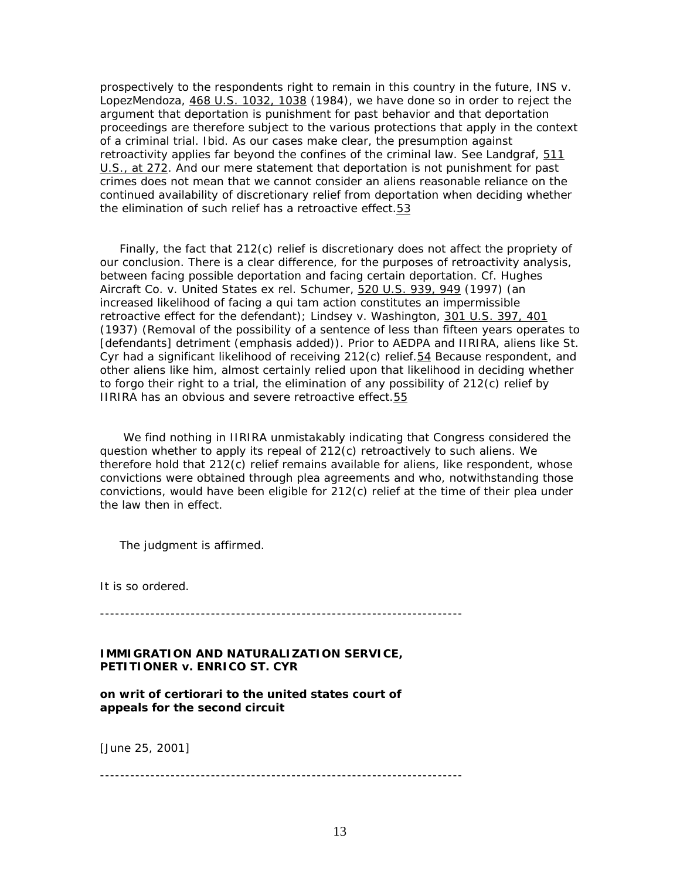prospectively to the respondents right to remain in this country in the future, *INS* v. *LopezMendoza,* 468 U.S. 1032, 1038 (1984), we have done so in order to reject the argument that deportation is punishment for past behavior and that deportation proceedings are therefore subject to the various protections that apply in the context of a criminal trial. *Ibid.* As our cases make clear, the presumption against retroactivity applies far beyond the confines of the criminal law. See *Landgraf*, 511 U.S., at 272. And our mere statement that deportation is not punishment for past crimes does not mean that we cannot consider an aliens reasonable reliance on the continued availability of discretionary relief from deportation when deciding whether the elimination of such relief has a retroactive effect.53

 Finally, the fact that 212(c) relief is discretionary does not affect the propriety of our conclusion. There is a clear difference, for the purposes of retroactivity analysis, between facing possible deportation and facing certain deportation. Cf. *Hughes Aircraft Co.* v. *United States ex rel. Schumer,* 520 U.S. 939, 949 (1997) (an increased likelihood of facing a *qui tam* action constitutes an impermissible retroactive effect for the defendant); *Lindsey* v. *Washington,* 301 U.S. 397, 401 (1937) (Removal of the *possibility* of a sentence of less than fifteen years operates to [defendants] detriment (emphasis added)). Prior to AEDPA and IIRIRA, aliens like St. Cyr had a significant likelihood of receiving 212(c) relief.54 Because respondent, and other aliens like him, almost certainly relied upon that likelihood in deciding whether to forgo their right to a trial, the elimination of any possibility of  $212(c)$  relief by IIRIRA has an obvious and severe retroactive effect.55

 We find nothing in IIRIRA unmistakably indicating that Congress considered the question whether to apply its repeal of 212(c) retroactively to such aliens. We therefore hold that  $212(c)$  relief remains available for aliens, like respondent, whose convictions were obtained through plea agreements and who, notwithstanding those convictions, would have been eligible for 212(c) relief at the time of their plea under the law then in effect.

The judgment is affirmed.

It is so ordered.

------------------------------------------------------------------------

### **IMMIGRATION AND NATURALIZATION SERVICE, PETITIONER** *v.* **ENRICO ST. CYR**

**on writ of certiorari to the united states court of appeals for the second circuit**

[June 25, 2001]

------------------------------------------------------------------------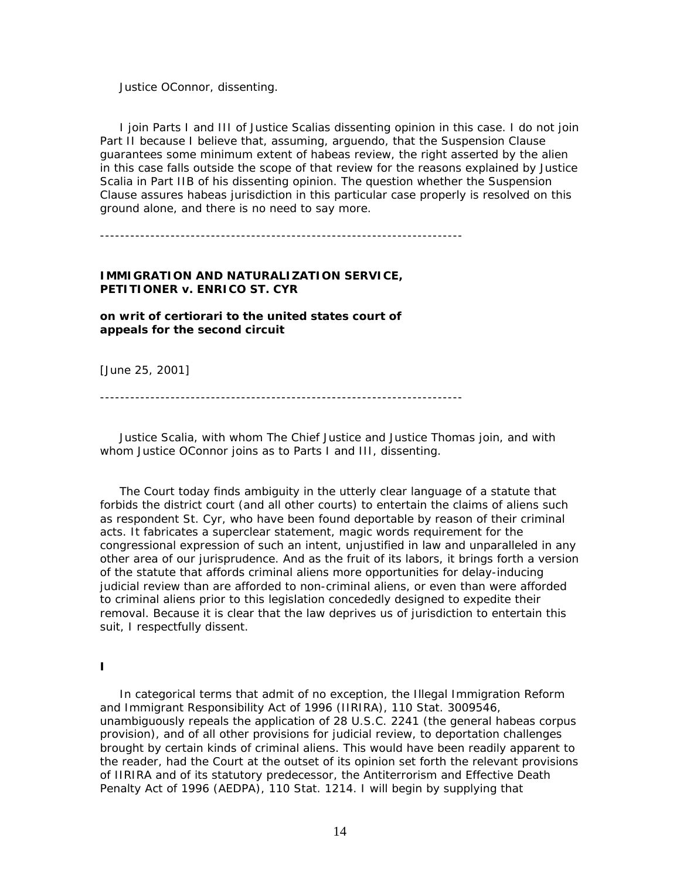*Justice OConnor*, dissenting.

 I join Parts I and III of *Justice Scalia*s dissenting opinion in this case. I do not join Part II because I believe that, assuming, *arguendo,* that the Suspension Clause guarantees some minimum extent of habeas review, the right asserted by the alien in this case falls outside the scope of that review for the reasons explained by *Justice Scalia* in Part IIB of his dissenting opinion. The question whether the Suspension Clause assures habeas jurisdiction in this particular case properly is resolved on this ground alone, and there is no need to say more.

------------------------------------------------------------------------

#### **IMMIGRATION AND NATURALIZATION SERVICE, PETITIONER** *v.* **ENRICO ST. CYR**

**on writ of certiorari to the united states court of appeals for the second circuit**

[June 25, 2001]

------------------------------------------------------------------------

 *Justice Scalia*, with whom *The Chief Justice* and *Justice Thomas* join, and with whom *Justice OConnor* joins as to Parts I and III, dissenting.

 The Court today finds ambiguity in the utterly clear language of a statute that forbids the district court (and all other courts) to entertain the claims of aliens such as respondent St. Cyr, who have been found deportable by reason of their criminal acts. It fabricates a superclear statement, magic words requirement for the congressional expression of such an intent, unjustified in law and unparalleled in any other area of our jurisprudence. And as the fruit of its labors, it brings forth a version of the statute that affords *criminal* aliens *more* opportunities for delay-inducing judicial review than are afforded to non-criminal aliens, or even than were afforded to criminal aliens prior to this legislation concededly designed to *expedite* their removal. Because it is clear that the law deprives us of jurisdiction to entertain this suit, I respectfully dissent.

## **I**

 In categorical terms that admit of no exception, the Illegal Immigration Reform and Immigrant Responsibility Act of 1996 (IIRIRA), 110 Stat. 3009546, unambiguously repeals the application of 28 U.S.C. 2241 (the general habeas corpus provision), and of all other provisions for judicial review, to deportation challenges brought by certain kinds of criminal aliens. This would have been readily apparent to the reader, had the Court at the outset of its opinion set forth the relevant provisions of IIRIRA and of its statutory predecessor, the Antiterrorism and Effective Death Penalty Act of 1996 (AEDPA), 110 Stat. 1214. I will begin by supplying that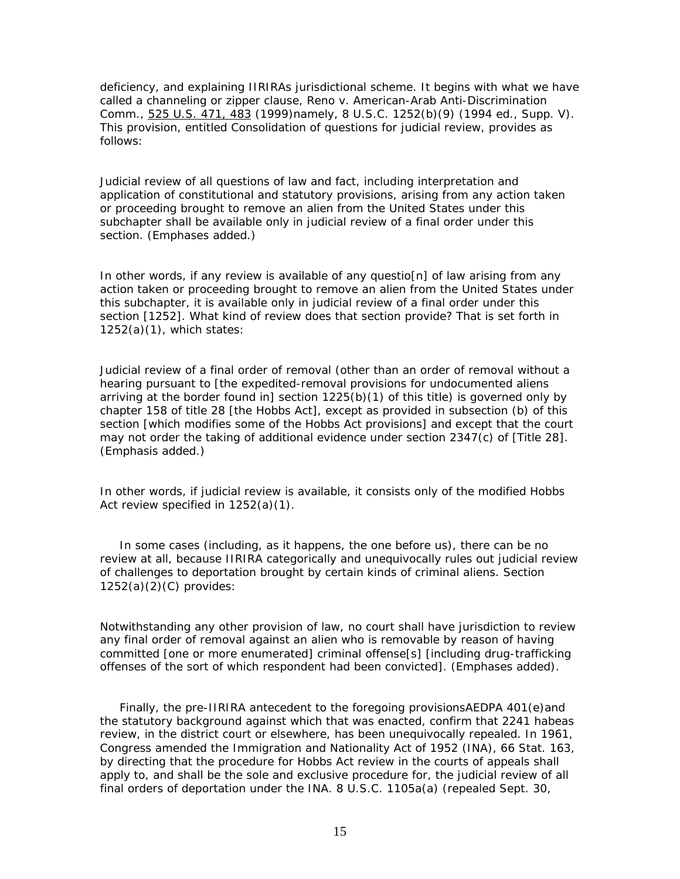deficiency, and explaining IIRIRAs jurisdictional scheme. It begins with what we have called a channeling or zipper clause, *Reno* v. *American-Arab Anti-Discrimination Comm.,* 525 U.S. 471, 483 (1999)namely, 8 U.S.C. 1252(b)(9) (1994 ed., Supp. V). This provision, entitled Consolidation of questions for judicial review, provides as follows:

Judicial review of *all* questions of law and fact, including interpretation and application of constitutional and statutory provisions, arising from *any action taken or proceeding brought to remove an alien* from the United States under this subchapter shall be available *only* in judicial review of a final order under this section. (Emphases added.)

In other words, *if* any review is available of any questio[n] of law arising from any action taken or proceeding brought to remove an alien from the United States under this subchapter, it is available only in judicial review of a final order under this section [1252]. What kind of review does that section provide? That is set forth in  $1252(a)(1)$ , which states:

Judicial review of a final order of removal (other than an order of removal without a hearing pursuant to [the expedited-removal provisions for undocumented aliens arriving at the border found in] section  $1225(b)(1)$  of this title) is governed only by chapter 158 of title 28 [the Hobbs Act], except as provided in subsection (b) of this section [which modifies some of the Hobbs Act provisions] and except that the court may not order the taking of additional evidence under section 2347(c) of [Title 28]. (Emphasis added.)

In other words, *if* judicial review is available, it consists *only* of the modified Hobbs Act review specified in 1252(a)(1).

 In some cases (including, as it happens, the one before us), there can be no review at all, because IIRIRA categorically and unequivocally rules out judicial review of challenges to deportation brought by certain kinds of criminal aliens. Section  $1252(a)(2)(C)$  provides:

Notwithstanding *any* other provision of law, *no court* shall have jurisdiction to review *any* final order of removal against an alien who is removable by reason of having committed [one or more enumerated] criminal offense[s] [including drug-trafficking offenses of the sort of which respondent had been convicted]. (Emphases added).

 Finally, the pre-IIRIRA antecedent to the foregoing provisionsAEDPA 401(e)and the statutory background against which that was enacted, confirm that 2241 habeas review, in the district court or elsewhere, has been unequivocally repealed. In 1961, Congress amended the Immigration and Nationality Act of 1952 (INA), 66 Stat. 163, by directing that the procedure for Hobbs Act review in the courts of appeals shall apply to, and shall be the *sole and exclusive procedure for*, the judicial review of all final orders of deportation under the INA. 8 U.S.C. 1105a(a) (repealed Sept. 30,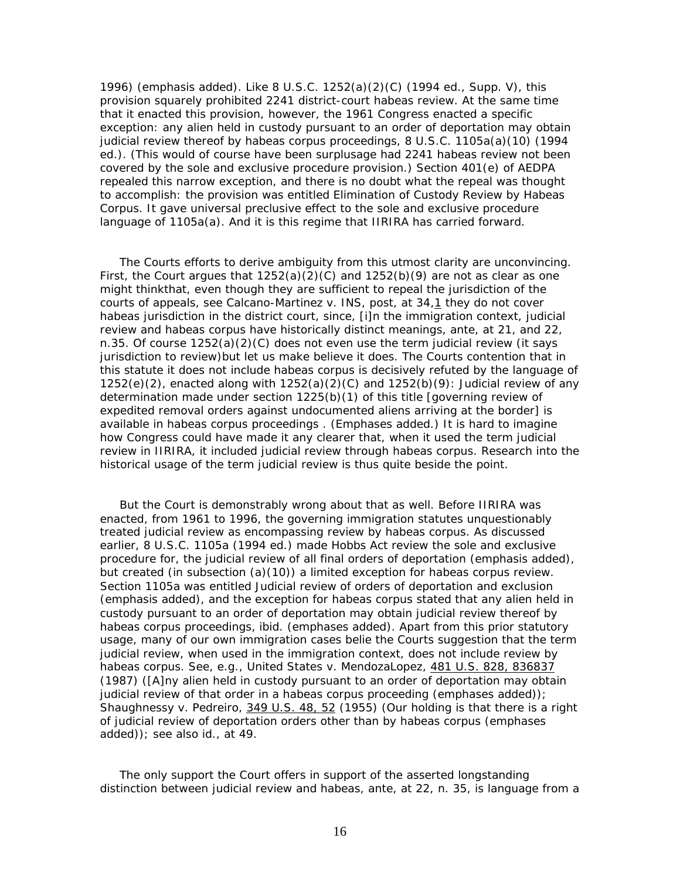1996) (emphasis added). Like 8 U.S.C. 1252(a)(2)(C) (1994 ed., Supp. V), this provision squarely prohibited 2241 district-court habeas review. At the same time that it enacted this provision, however, the 1961 Congress enacted a specific exception: any alien held in custody pursuant to an order of deportation may obtain judicial review thereof by habeas corpus proceedings, 8 U.S.C. 1105a(a)(10) (1994 ed.). (This would of course have been surplusage had 2241 habeas review not been covered by the sole and exclusive procedure provision.) Section 401(e) of AEDPA repealed this narrow exception, and there is no doubt what the repeal was thought to accomplish: the provision was entitled *Elimination of Custody Review by Habeas Corpus.* It gave universal preclusive effect to the sole and exclusive procedure language of 1105a(a). And it is this regime that IIRIRA has carried forward.

 The Courts efforts to derive ambiguity from this utmost clarity are unconvincing. First, the Court argues that  $1252(a)(2)(C)$  and  $1252(b)(9)$  are not as clear as one might thinkthat, even though they are sufficient to repeal the jurisdiction of the courts of appeals, see *Calcano-Martinez* v. *INS*, *post*, at 34,1 they do not cover habeas jurisdiction in the district court, since, [i]n the immigration context, judicial review and habeas corpus have historically distinct meanings, *ante*, at 21, and 22, n.35. Of course 1252(a)(2)(C) does not even *use* the term judicial review (it says jurisdiction to review)but let us make believe it does. The Courts contention that in *this* statute it does not include habeas corpus is decisively refuted by the language of 1252(e)(2), enacted along with 1252(a)(2)(C) and 1252(b)(9): *Judicial review* of any determination made under section 1225(b)(1) of this title [governing review of expedited removal orders against undocumented aliens arriving at the border] is available in *habeas corpus* proceedings . (Emphases added.) It is hard to imagine how Congress could have made it any clearer that, when it used the term judicial review in IIRIRA, it included judicial review through habeas corpus. Research into the historical usage of the term judicial review is thus quite beside the point.

 But the Court is demonstrably wrong about that as well. Before IIRIRA was enacted, from 1961 to 1996, the governing immigration statutes unquestionably treated judicial review as encompassing review by habeas corpus. As discussed earlier, 8 U.S.C. 1105a (1994 ed.) made Hobbs Act review the sole and exclusive procedure for, the *judicial review* of all final orders of deportation (emphasis added), but created (in subsection  $(a)(10)$ ) a limited exception for habeas corpus review. Section 1105a was entitled *Judicial review* of orders of deportation and exclusion (emphasis added), and the exception for habeas corpus stated that any alien held in custody pursuant to an order of deportation may obtain *judicial review* thereof by *habeas corpus* proceedings, *ibid.* (emphases added). Apart from this prior statutory usage, many of our own immigration cases belie the Courts suggestion that the term judicial review, when used in the immigration context, does not include review by habeas corpus. See, *e.g.*, *United States* v. *MendozaLopez,* 481 U.S. 828, 836837 (1987) ([A]ny alien held in custody pursuant to an order of deportation may obtain *judicial review* of that order in a *habeas corpus* proceeding (emphases added)); *Shaughnessy* v. *Pedreiro,* 349 U.S. 48, 52 (1955) (Our holding is that there is a right of *judicial review* of deportation orders *other than by habeas corpus* (emphases added)); see also *id*., at 49.

 The *only* support the Court offers in support of the asserted longstanding distinction between judicial review and habeas, *ante*, at 22, n. 35, is language from a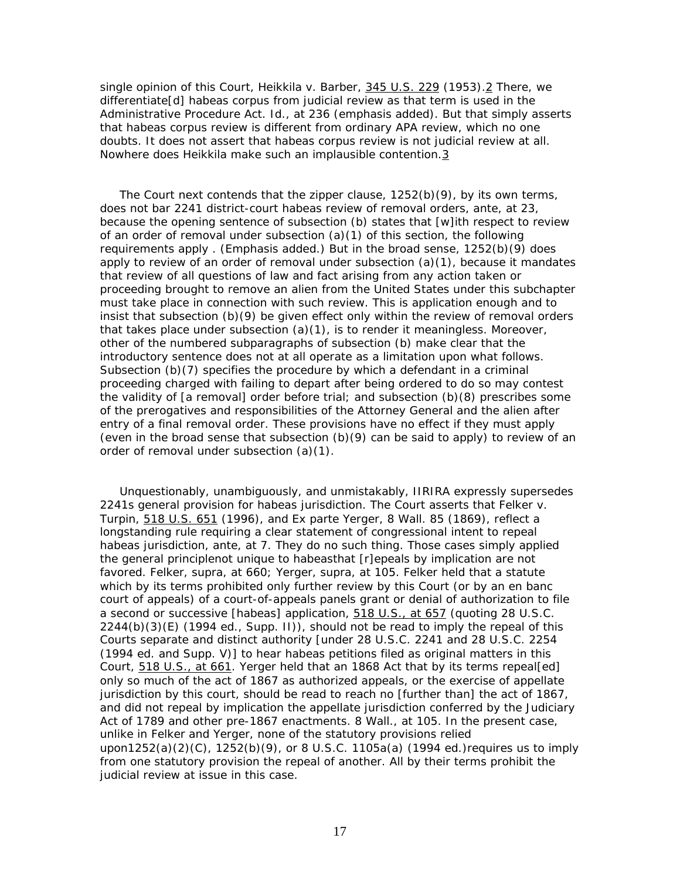single opinion of this Court, *Heikkila* v. *Barber,* 345 U.S. 229 (1953).2 There, we differentiate[d] habeas corpus from judicial review *as that term is used in the Administrative Procedure Act*. *Id.*, at 236 (emphasis added). But that simply asserts that habeas corpus review is different from ordinary APA review, which no one doubts. It does *not* assert that habeas corpus review is not judicial review *at all*. Nowhere does *Heikkila* make such an implausible contention.3

 The Court next contends that the zipper clause, 1252(b)(9), by its own terms, does not bar 2241 district-court habeas review of removal orders, *ante*, at 23, because the opening sentence of subsection (b) states that [w]ith respect to review of an order of removal *under subsection (a)(1) of this section*, the following requirements apply . (Emphasis added.) But in the broad sense, 1252(b)(9) *does* apply to review of an order of removal under subsection  $(a)(1)$ , because it mandates that review of all questions of law and fact arising from any action taken or proceeding brought to remove an alien from the United States under this subchapter must take place *in connection with* such review. This is application enough and to insist that subsection (b)(9) be given effect only *within* the review of removal orders that takes place under subsection  $(a)(1)$ , is to render it meaningless. Moreover, other of the numbered subparagraphs of subsection (b) make clear that the introductory sentence does not at all operate as a limitation upon what follows. Subsection (b)(7) specifies the procedure by which a defendant in a criminal proceeding charged with failing to depart after being ordered to do so may contest the validity of [a removal] order before trial; and subsection (b)(8) prescribes some of the prerogatives and responsibilities of the Attorney General and the alien after entry of a final removal order. These provisions have no effect if they must apply (even in the broad sense that subsection  $(b)(9)$  can be said to apply) to review of an order of removal under subsection (a)(1).

 Unquestionably, unambiguously, and unmistakably, IIRIRA expressly supersedes 2241s general provision for habeas jurisdiction. The Court asserts that *Felker* v. *Turpin,* 518 U.S. 651 (1996), and *Ex parte Yerger,* 8 Wall. 85 (1869), reflect a longstanding rule requiring a clear statement of congressional intent to repeal habeas jurisdiction, *ante*, at 7. They do no such thing. Those cases simply applied the general principlenot unique to habeasthat [r]epeals by implication are not favored. *Felker*, *supra,* at 660; *Yerger*, *supra,* at 105. *Felker* held that a statute which by its terms prohibited only further review by this Court (or by an en banc court of appeals) of a court-of-appeals panels grant or denial of authorization to file a second or successive [habeas] application, 518 U.S., at 657 (quoting 28 U.S.C.  $2244(b)(3)(E)$  (1994 ed., Supp. II)), should not be read to imply the repeal of this Courts separate and distinct authority [under 28 U.S.C. 2241 and 28 U.S.C. 2254 (1994 ed. and Supp. V)] to hear habeas petitions filed as original matters in this Court, 518 U.S., at 661. *Yerger* held that an 1868 Act that by its terms repeal[ed] only so much of the act of 1867 as authorized appeals, or the exercise of appellate jurisdiction by this court, should be read to reach no [further than] the act of 1867, and did not repeal by implication the appellate jurisdiction conferred by the Judiciary Act of 1789 and other pre-1867 enactments. 8 Wall., at 105. In the present case, unlike in *Felker* and *Yerger*, none of the statutory provisions relied upon1252(a)(2)(C),  $1252(b)(9)$ , or 8 U.S.C. 1105a(a) (1994 ed.) requires us to imply from one statutory provision the repeal of another. All *by their terms* prohibit the judicial review at issue in this case.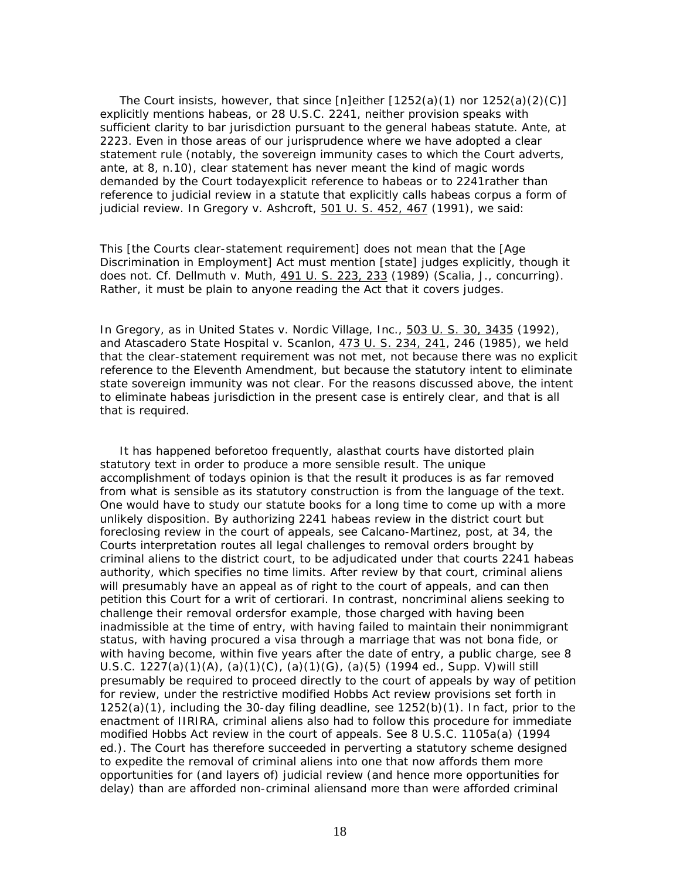The Court insists, however, that since  $[n]$ either  $[1252(a)(1)$  nor  $1252(a)(2)(C)]$ explicitly mentions habeas, or 28 U.S.C. 2241, neither provision speaks with sufficient clarity to bar jurisdiction pursuant to the general habeas statute. *Ante*, at 2223. Even in those areas of our jurisprudence where we *have* adopted a clear statement rule (notably, the sovereign immunity cases to which the Court adverts, *ante*, at 8, n.10), clear statement has never meant the kind of magic words demanded by the Court todayexplicit reference to habeas or to 2241rather than reference to judicial review in a statute that explicitly calls habeas corpus a form of judicial review. In *Gregory* v. *Ashcroft*, 501 U. S. 452, 467 (1991), we said:

This [the Courts clear-statement requirement] does not mean that the [Age Discrimination in Employment] Act must mention [state] judges explicitly, though it does not. Cf. *Dellmuth* v. *Muth*, 491 U. S. 223, 233 (1989) (*Scalia, J.*, concurring). Rather, it must be plain to anyone reading the Act that it covers judges.

In *Gregory*, as in *United States* v. *Nordic Village, Inc.*, 503 U. S. 30, 3435 (1992), and *Atascadero State Hospital* v. *Scanlon*, 473 U. S. 234, 241, 246 (1985), we held that the clear-statement requirement was not met, not because there was no explicit reference to the Eleventh Amendment, but because the statutory intent to eliminate state sovereign immunity *was not clear*. For the reasons discussed above, the intent to eliminate habeas jurisdiction in the present case is entirely clear, and that is all that is required.

 It has happened beforetoo frequently, alasthat courts have distorted plain statutory text in order to produce a more sensible result. The unique accomplishment of todays opinion is that the result it produces is as far removed from what is sensible as its statutory construction is from the language of the text. One would have to study our statute books for a long time to come up with a more unlikely disposition. By authorizing 2241 habeas review in the district court but foreclosing review in the court of appeals, see *Calcano-Martinez*, *post*, at 34, the Courts interpretation routes all legal challenges to removal orders brought by criminal aliens to the district court, to be adjudicated under that courts 2241 habeas authority, which specifies no time limits. After review by that court, criminal aliens will presumably have an appeal as of right to the court of appeals, and can then petition this Court for a writ of certiorari. In contrast, noncriminal aliens seeking to challenge their removal ordersfor example, those charged with having been inadmissible at the time of entry, with having failed to maintain their nonimmigrant status, with having procured a visa through a marriage that was not bona fide, or with having become, within five years after the date of entry, a public charge, see 8 U.S.C.  $1227(a)(1)(A)$ ,  $(a)(1)(C)$ ,  $(a)(1)(G)$ ,  $(a)(5)(1994$  ed., Supp. V) will still presumably be required to proceed directly to the court of appeals by way of petition for review, under the restrictive modified Hobbs Act review provisions set forth in 1252(a)(1), including the 30-day filing deadline, see 1252(b)(1). In fact, prior to the enactment of IIRIRA, criminal aliens also had to follow this procedure for immediate modified Hobbs Act review in the court of appeals. See 8 U.S.C. 1105a(a) (1994 ed.). The Court has therefore succeeded in perverting a statutory scheme designed to *expedite* the removal of criminal aliens into one that now affords them *more* opportunities for (and layers of) judicial review (and hence more opportunities for delay) than are afforded *non*-criminal aliensand more than were afforded criminal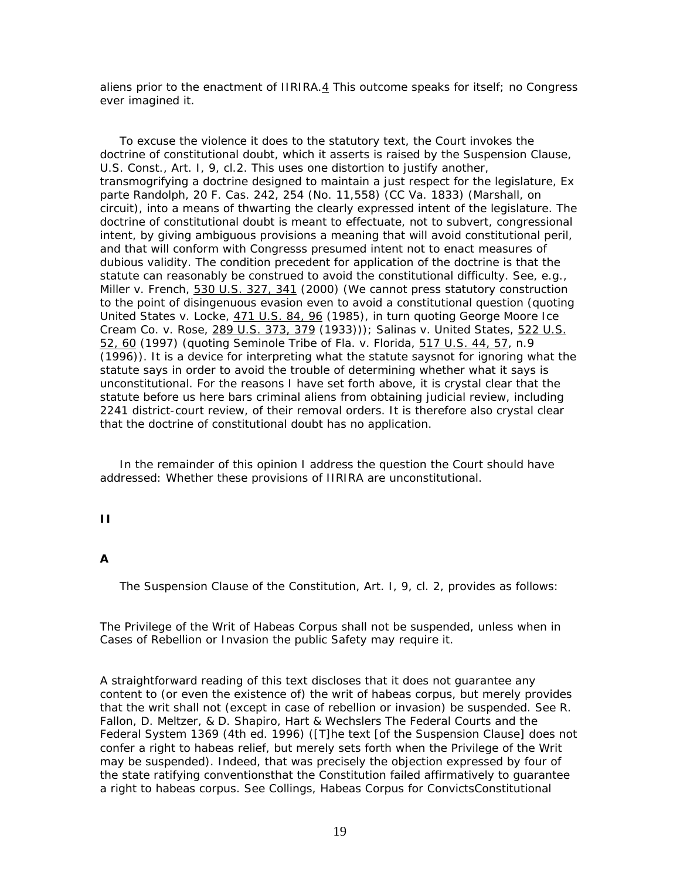aliens prior to the enactment of IIRIRA.4 This outcome speaks for itself; no Congress ever imagined it.

 To excuse the violence it does to the statutory text, the Court invokes the doctrine of constitutional doubt, which it asserts is raised by the Suspension Clause, U.S. Const., Art. I, 9, cl.2. This uses one distortion to justify another, transmogrifying a doctrine designed to maintain a just respect for the legislature, *Ex parte Randolph*, 20 F. Cas. 242, 254 (No. 11,558) (CC Va. 1833) (Marshall, on circuit), into a means of thwarting the clearly expressed intent of the legislature. The doctrine of constitutional doubt is meant to effectuate, not to subvert, congressional intent, by giving *ambiguous* provisions a meaning that will avoid constitutional peril, and that will conform with Congresss presumed intent not to enact measures of dubious validity. The condition precedent for application of the doctrine is that the statute can *reasonably be construed* to avoid the constitutional difficulty. See, *e.g.*, *Miller* v. *French,* 530 U.S. 327, 341 (2000) (We cannot press statutory construction to the point of disingenuous evasion even to avoid a constitutional question (quoting *United States* v. *Locke,* 471 U.S. 84, 96 (1985), in turn quoting *George Moore Ice Cream Co.* v. *Rose,* 289 U.S. 373, 379 (1933))); *Salinas* v. *United States,* 522 U.S. 52, 60 (1997) (quoting *Seminole Tribe of Fla.* v. *Florida,* 517 U.S. 44, 57, n.9 (1996)). It is a device for interpreting what the statute saysnot for *ignoring* what the statute says in order to avoid the trouble of determining whether what it says is unconstitutional. For the reasons I have set forth above, it is crystal clear that the statute before us here bars criminal aliens from obtaining judicial review, including 2241 district-court review, of their removal orders. It is therefore also crystal clear that the doctrine of constitutional doubt has no application.

 In the remainder of this opinion I address the question the Court *should* have addressed: Whether these provisions of IIRIRA are unconstitutional.

## **II**

### **A**

The Suspension Clause of the Constitution, Art. I, 9, cl. 2, provides as follows:

The Privilege of the Writ of Habeas Corpus shall not be suspended, unless when in Cases of Rebellion or Invasion the public Safety may require it.

A straightforward reading of this text discloses that it does not guarantee any content to (or even the existence of) the writ of habeas corpus, but merely provides that the writ shall not (except in case of rebellion or invasion) be suspended. See R. Fallon, D. Meltzer, & D. Shapiro, Hart & Wechslers The Federal Courts and the Federal System 1369 (4th ed. 1996) ([T]he text [of the Suspension Clause] does not confer a right to habeas relief, but merely sets forth when the Privilege of the Writ may be suspended). Indeed, that was precisely the objection expressed by four of the state ratifying conventionsthat the Constitution failed affirmatively to guarantee a right to habeas corpus. See Collings, Habeas Corpus for ConvictsConstitutional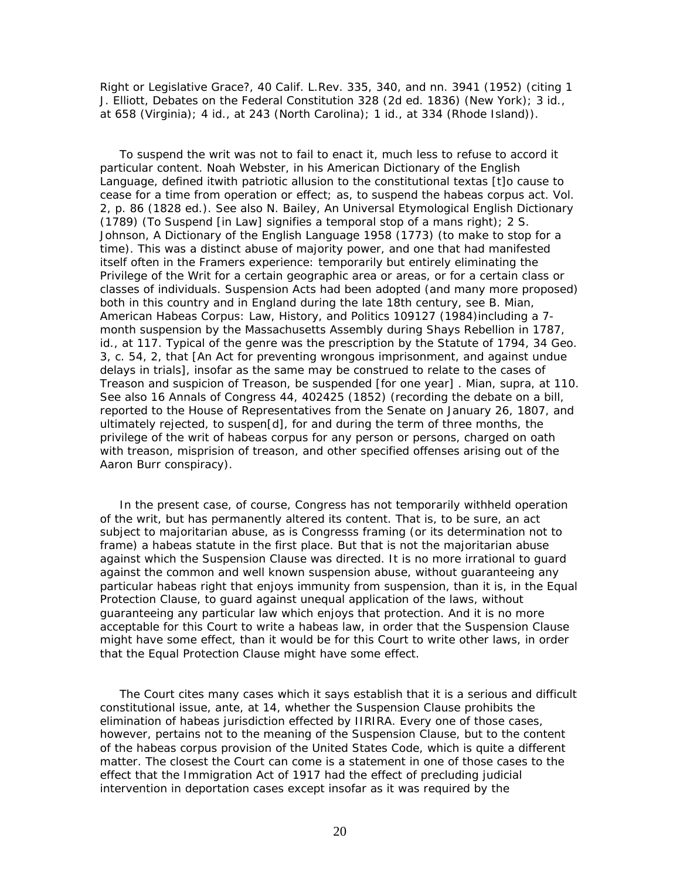Right or Legislative Grace?, 40 Calif. L.Rev. 335, 340, and nn. 3941 (1952) (citing 1 J. Elliott, Debates on the Federal Constitution 328 (2d ed. 1836) (New York); 3 *id.*, at 658 (Virginia); 4 *id.*, at 243 (North Carolina); 1 *id.*, at 334 (Rhode Island)).

 To suspend the writ was not to fail to enact it, much less to refuse to accord it particular content. Noah Webster, in his American Dictionary of the English Language, defined itwith patriotic allusion to the constitutional textas [t]o cause to cease for a time from operation or effect; as, to *suspend* the habeas corpus act. Vol. 2, p. 86 (1828 ed.). See also N. Bailey, An Universal Etymological English Dictionary (1789) (To Suspend [in *Law*] signifies a temporal stop of a mans right); 2 S. Johnson, A Dictionary of the English Language 1958 (1773) (to make to stop for a time). This was a distinct abuse of majority power, and one that had manifested itself often in the Framers experience: temporarily but entirely eliminating the Privilege of the Writ for a certain geographic area or areas, or for a certain class or classes of individuals. Suspension Acts had been adopted (and many more proposed) both in this country and in England during the late 18th century, see B. Mian, American Habeas Corpus: Law, History, and Politics 109127 (1984)including a 7 month suspension by the Massachusetts Assembly during Shays Rebellion in 1787, *id*., at 117. Typical of the genre was the prescription by the Statute of 1794, 34 Geo. 3, c. 54, 2, that [An Act for preventing wrongous imprisonment, and against undue delays in trials], insofar as the same may be construed to relate to the cases of Treason and suspicion of Treason, be suspended [for one year] . Mian, *supra,* at 110. See also 16 Annals of Congress 44, 402425 (1852) (recording the debate on a bill, reported to the House of Representatives from the Senate on January 26, 1807, and ultimately rejected, to suspen[d], for and during the term of three months, the privilege of the writ of *habeas corpus* for any person or persons, charged on oath with treason, misprision of treason, and other specified offenses arising out of the Aaron Burr conspiracy).

 In the present case, of course, Congress has not temporarily withheld operation of the writ, but has permanently altered its content. That is, to be sure, an act subject to majoritarian abuse, as is Congresss framing (or its determination not to frame) a habeas statute in the first place. But that is not the majoritarian abuse against which the Suspension Clause was directed. It is no more irrational to guard against the common and well known suspension abuse, without guaranteeing any particular habeas right that enjoys immunity from suspension, than it is, in the Equal Protection Clause, to guard against unequal application of the laws, without guaranteeing any particular law which enjoys *that* protection. And it is no more acceptable for this Court to write a habeas law, in order that the Suspension Clause might have some effect, than it would be for this Court to write other laws, in order that the Equal Protection Clause might have some effect.

 The Court cites many cases which it says establish that it is a serious and difficult constitutional issue, *ante*, at 14, whether the Suspension Clause prohibits the elimination of habeas jurisdiction effected by IIRIRA. Every one of those cases, however, pertains not to the meaning of the Suspension Clause, but to the content of the habeas corpus provision of the United States Code, which is quite a different matter. The closest the Court can come is a statement in one of those cases to the effect that the Immigration Act of 1917 had the effect of precluding judicial intervention in deportation cases except insofar as it was required by the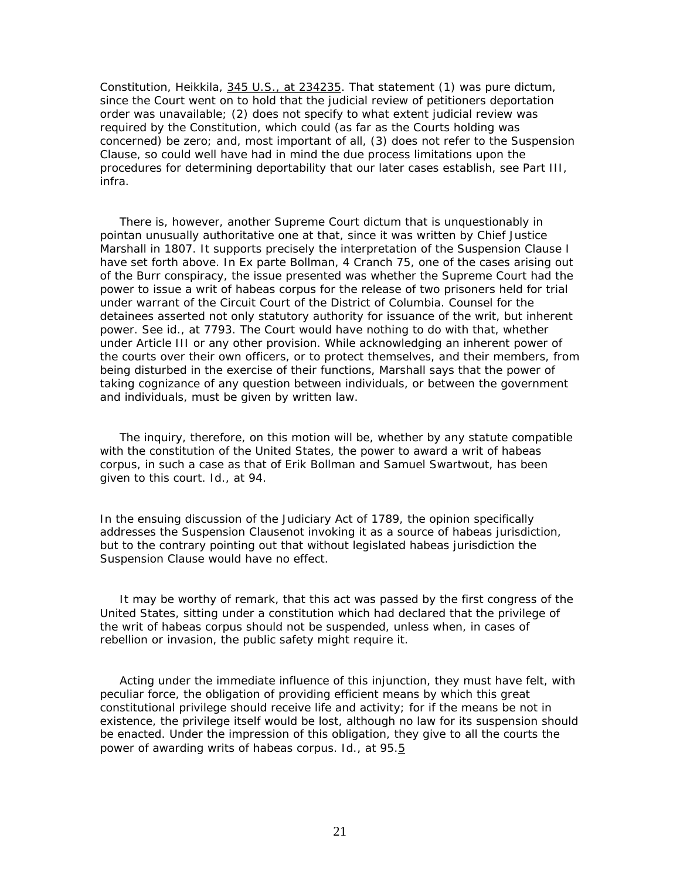Constitution, *Heikkila*, 345 U.S., at 234235. That statement (1) was pure dictum, since the Court went on to hold that the judicial review of petitioners deportation order was unavailable; (2) does not specify to *what* extent judicial review *was* required by the Constitution, which could (as far as the Courts holding was concerned) be zero; and, most important of all, (3) does not refer to the Suspension Clause, so could well have had in mind the due process limitations upon the procedures for determining deportability that our later cases establish, see Part III, *infra*.

 There is, however, another Supreme Court dictum that is unquestionably in pointan unusually authoritative one at that, since it was written by Chief Justice Marshall in 1807. It supports precisely the interpretation of the Suspension Clause I have set forth above. In *Ex parte Bollman,* 4 Cranch 75, one of the cases arising out of the Burr conspiracy, the issue presented was whether the Supreme Court had the power to issue a writ of habeas corpus for the release of two prisoners held for trial under warrant of the Circuit Court of the District of Columbia. Counsel for the detainees asserted not only statutory authority for issuance of the writ, but inherent power. See *id*., at 7793. The Court would have nothing to do with that, whether under Article III or any other provision. While acknowledging an inherent power of the courts over their own officers, or to protect themselves, and their members, from being disturbed in the exercise of their functions, Marshall says that the power of taking cognizance of any question between individuals, or between the government and individuals, must be given by written law.

 The inquiry, therefore, on this motion will be, whether by any statute compatible with the constitution of the United States, the power to award a writ of *habeas corpus*, in such a case as that of Erik Bollman and Samuel Swartwout, has been given to this court. *Id*., at 94.

In the ensuing discussion of the Judiciary Act of 1789, the opinion specifically addresses the Suspension Clausenot invoking it as a source of habeas jurisdiction, but to the contrary pointing out that without *legislated* habeas jurisdiction the Suspension Clause would have no effect.

 It may be worthy of remark, that this act was passed by the first congress of the United States, sitting under a constitution which had declared that the privilege of the writ of *habeas corpus* should not be suspended, unless when, in cases of rebellion or invasion, the public safety might require it.

 Acting under the immediate influence of this injunction, they must have felt, with peculiar force, the obligation of providing efficient means by which this great constitutional privilege should receive life and activity; for if the means be not in existence, the privilege itself would be lost, although no law for its suspension should be enacted. Under the impression of this obligation, they give to all the courts the power of awarding writs of *habeas corpus*. *Id*., at 95.5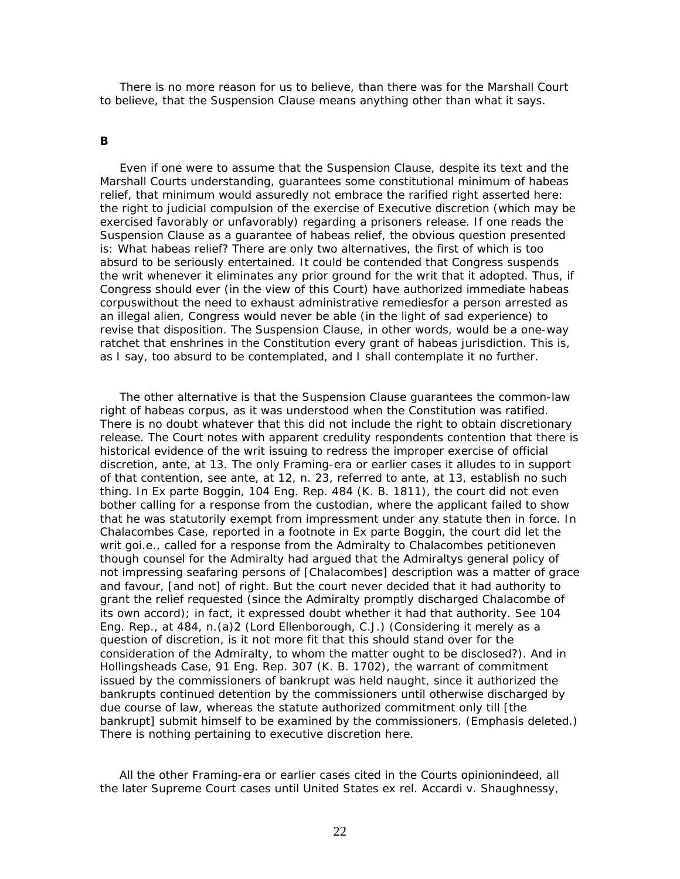There is no more reason for us to believe, than there was for the Marshall Court to believe, that the Suspension Clause means anything other than what it says.

#### **B**

 Even if one were to assume that the Suspension Clause, despite its text and the Marshall Courts understanding, guarantees some constitutional minimum of habeas relief, that minimum would assuredly not embrace the rarified right asserted here: the right to judicial compulsion of the exercise of Executive *discretion* (which may be exercised favorably or unfavorably) regarding a prisoners release. If one reads the Suspension Clause as a guarantee of habeas relief, the obvious question presented is: *What* habeas relief? There are only two alternatives, the first of which is too absurd to be seriously entertained. It could be contended that Congress suspends the writ whenever it eliminates *any* prior ground for the writ that it adopted. Thus, if Congress should ever (in the view of this Court) have authorized immediate habeas corpuswithout the need to exhaust administrative remediesfor a person arrested as an illegal alien, Congress would *never* be able (in the light of sad experience) to revise that disposition. The Suspension Clause, in other words, would be a one-way ratchet that enshrines in the Constitution every grant of habeas jurisdiction. This is, as I say, too absurd to be contemplated, and I shall contemplate it no further.

 The other alternative is that the Suspension Clause guarantees the common-law right of habeas corpus, as it was understood when the Constitution was ratified. There is no doubt whatever that this did not include the right to obtain discretionary release. The Court notes with apparent credulity respondents contention that there is historical evidence of the writ issuing to redress the improper exercise of official discretion, *ante*, at 13. The only Framing-era or earlier cases it alludes to in support of that contention, see *ante*, at 12, n. 23, referred to *ante*, at 13, establish no such thing. In *Ex parte Boggin*, 104 Eng. Rep. 484 (K. B. 1811), the court did not even bother calling for a response from the custodian, where the applicant failed to show that he was statutorily exempt from impressment under any statute then in force. In *Chalacombes Case,* reported in a footnote in *Ex parte Boggin*, the court did let the writ go*i.e.*, called for a response from the Admiralty to Chalacombes petitioneven though counsel for the Admiralty had argued that the Admiraltys general policy of not impressing seafaring persons of [Chalacombes] description was a matter of grace and favour, [and not] of right. But the court never decided that it had authority to grant the relief requested (since the Admiralty promptly discharged Chalacombe of its own accord); in fact, it expressed doubt whether it had that authority. See 104 Eng. Rep., at 484, n.(a)2 (Lord Ellenborough, C.J.) (Considering it merely as a question of discretion, is it not more fit that this should stand over for the consideration of the Admiralty, to whom the matter ought to be disclosed?). And in *Hollingsheads Case*, 91 Eng. Rep. 307 (K. B. 1702), the warrant of commitment issued by the commissioners of bankrupt was held naught, since it authorized the bankrupts continued detention by the commissioners until otherwise discharged by due course of law, whereas the statute authorized commitment only till [the bankrupt] submit himself to be examined by the commissioners. (Emphasis deleted.) There is nothing pertaining to executive discretion here.

 *All* the other Framing-era or earlier cases cited in the Courts opinionindeed, *all the later Supreme Court cases until United States ex rel. Accardi* v. *Shaughnessy,*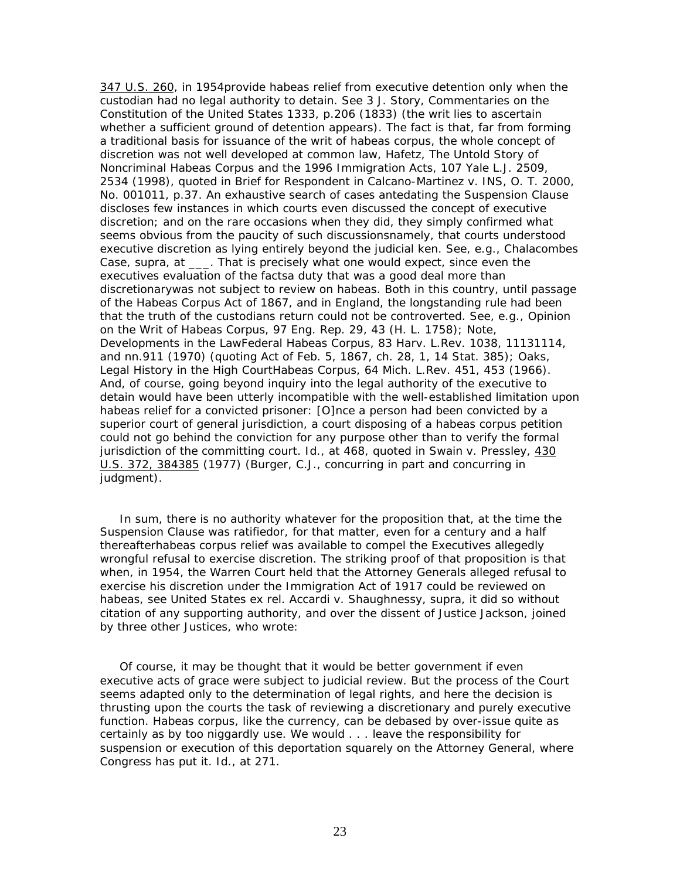347 U.S. 260, *in 1954*provide habeas relief from executive detention only when the custodian had no legal authority to detain. See 3 J. Story, Commentaries on the Constitution of the United States 1333, p.206 (1833) (the writ lies to ascertain whether a sufficient ground of detention appears). The fact is that, far from forming a traditional basis for issuance of the writ of habeas corpus, the whole concept of discretion was not well developed at common law, Hafetz, The Untold Story of Noncriminal Habeas Corpus and the 1996 Immigration Acts, 107 Yale L.J. 2509, 2534 (1998), quoted in Brief for Respondent in *Calcano-Martinez* v. *INS*, O. T. 2000, No. 001011, p.37. An exhaustive search of cases antedating the Suspension Clause discloses few instances in which courts even discussed the concept of executive discretion; and on the rare occasions when they did, they simply confirmed what seems obvious from the paucity of such discussionsnamely, that courts understood executive discretion as lying entirely beyond the judicial ken. See, *e.g., Chalacombes Case, supra,* at \_\_\_. That is precisely what one would expect, since even the executives evaluation of the *facts*a duty that was a good deal *more* than discretionarywas not subject to review on habeas. Both in this country, until passage of the Habeas Corpus Act of 1867, and in England, the longstanding rule had been that the truth of the custodians return *could not be controverted*. See, *e.g.*, *Opinion on the Writ of Habeas Corpus*, 97 Eng. Rep. 29, 43 (H. L. 1758); Note, Developments in the LawFederal Habeas Corpus, 83 Harv. L.Rev. 1038, 11131114, and nn.911 (1970) (quoting Act of Feb. 5, 1867, ch. 28, 1, 14 Stat. 385); Oaks, Legal History in the High CourtHabeas Corpus, 64 Mich. L.Rev. 451, 453 (1966). And, of course, going beyond inquiry into the legal authority of the executive to detain would have been utterly incompatible with the well-established limitation upon habeas relief for a convicted prisoner: [O]nce a person had been convicted by a superior court of general jurisdiction, a court disposing of a habeas corpus petition could not go behind the conviction for any purpose other than to verify the formal jurisdiction of the committing court. *Id.*, at 468, quoted in *Swain* v. *Pressley,* 430 U.S. 372, 384385 (1977) (Burger, C.J., concurring in part and concurring in judgment).

 In sum, there is no authority whatever for the proposition that, at the time the Suspension Clause was ratifiedor, for that matter, even for a century and a half thereafterhabeas corpus relief was available to compel the Executives allegedly wrongful refusal to exercise discretion. The striking proof of that proposition is that when, in 1954, the Warren Court held that the Attorney Generals alleged refusal to exercise his discretion under the Immigration Act of 1917 could be reviewed on habeas, see *United States ex rel. Accardi* v. *Shaughnessy, supra,* it did so without citation of *any* supporting authority, and over the dissent of Justice Jackson, joined by three other Justices, who wrote:

 Of course, it may be thought that it would be better government if even executive acts of grace were subject to judicial review. But the process of the Court seems adapted only to the determination of legal rights, and here the decision is thrusting upon the courts the task of reviewing a discretionary and purely executive function. Habeas corpus, like the currency, can be debased by over-issue quite as certainly as by too niggardly use. We would . . . leave the responsibility for suspension or execution of this deportation squarely on the Attorney General, where Congress has put it. *Id.*, at 271.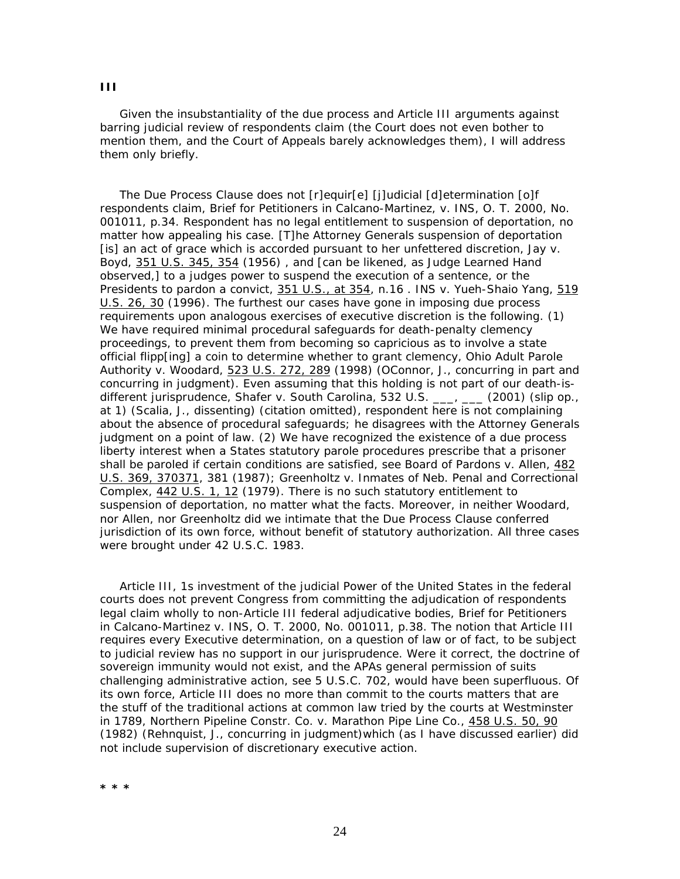Given the insubstantiality of the due process and Article III arguments against barring judicial review of respondents claim (the Court does not even bother to mention them, and the Court of Appeals barely acknowledges them), I will address them only briefly.

 The Due Process Clause does not [r]equir[e] [j]udicial [d]etermination [o]f respondents claim, Brief for Petitioners in *Calcano-Martinez*, v. *INS,* O. T. 2000, No. 001011, p.34. Respondent has no legal entitlement to suspension of deportation, no matter how appealing his case. [T]he Attorney Generals suspension of deportation [is] an act of grace which is accorded pursuant to her unfettered discretion, *Jay* v. *Boyd,* 351 U.S. 345, 354 (1956) , and [can be likened, as Judge Learned Hand observed,] to a judges power to suspend the execution of a sentence, or the Presidents to pardon a convict, 351 U.S., at 354, n.16 . *INS* v. *Yueh-Shaio Yang,* 519 U.S. 26, 30 (1996). The furthest our cases have gone in imposing due process requirements upon analogous exercises of executive discretion is the following. (1) We have required *minimal* procedural safeguards for death-penalty clemency proceedings, to prevent them from becoming so capricious as to involve a state official flipp[ing] a coin to determine whether to grant clemency, *Ohio Adult Parole Authority* v. *Woodard,* 523 U.S. 272, 289 (1998) (*OConnor, J.*, concurring in part and concurring in judgment). Even assuming that this holding is not part of our death-isdifferent jurisprudence, *Shafer* v. *South Carolina,* 532 U.S. \_\_\_, \_\_\_ (2001) (slip op., at 1) (*Scalia, J.*, dissenting) (citation omitted), respondent here is not complaining about the absence of procedural safeguards; he disagrees with the Attorney Generals judgment on a point of law. (2) We have recognized the existence of a due process liberty interest when a States statutory parole procedures prescribe that a prisoner shall be paroled if certain conditions are satisfied, see *Board of Pardons* v. *Allen,* 482 U.S. 369, 370371, 381 (1987); *Greenholtz* v. *Inmates of Neb. Penal and Correctional Complex,* 442 U.S. 1, 12 (1979). There is no such statutory *entitlement* to suspension of deportation, no matter what the facts. Moreover, in neither *Woodard*, nor *Allen*, nor *Greenholtz* did we intimate that the Due Process Clause conferred jurisdiction of its own force, without benefit of statutory authorization. All three cases were brought under 42 U.S.C. 1983.

 Article III, 1s investment of the judicial Power of the United States in the federal courts does not prevent Congress from committing the adjudication of respondents legal claim wholly to non-Article III federal adjudicative bodies, Brief for Petitioners in *Calcano-Martinez* v. *INS,* O. T. 2000, No. 001011, p.38. The notion that Article III requires every Executive determination, on a question of law or of fact, to be subject to judicial review has no support in our jurisprudence. Were it correct, the doctrine of sovereign immunity would not exist, and the APAs general permission of suits challenging administrative action, see 5 U.S.C. 702, would have been superfluous. Of its own force, Article III does no more than commit to the courts matters that are the stuff of the traditional actions at common law tried by the courts at Westminster in 1789, *Northern Pipeline Constr. Co.* v. *Marathon Pipe Line Co.,* 458 U.S. 50, 90 (1982) (*Rehnquist, J.*, concurring in judgment)which (as I have discussed earlier) did not include supervision of discretionary executive action.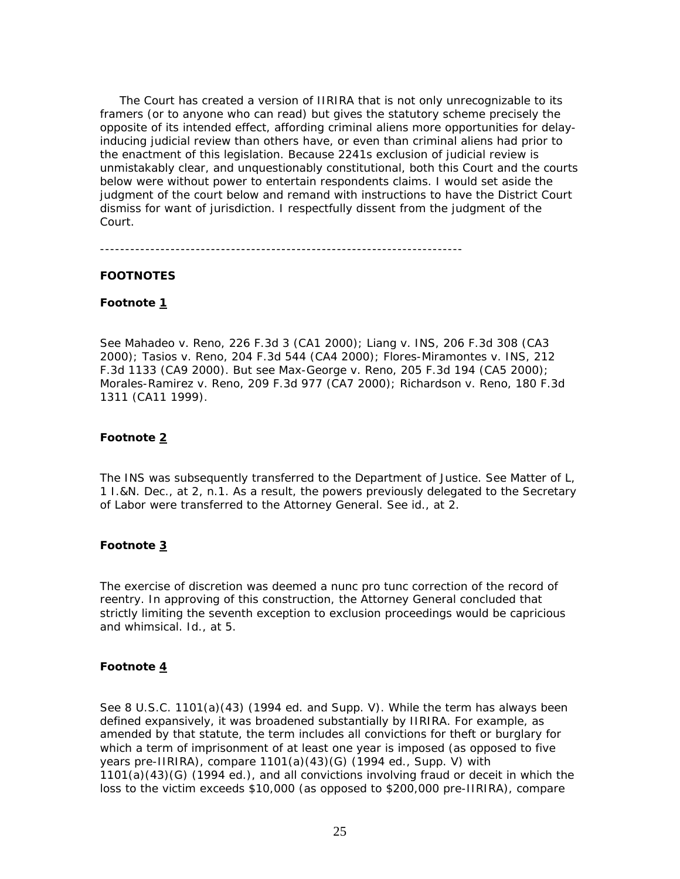The Court has created a version of IIRIRA that is not only unrecognizable to its framers (or to anyone who can read) but gives the statutory scheme precisely the *opposite* of its intended effect, affording criminal aliens *more* opportunities for delayinducing judicial review than others have, or even than criminal aliens had prior to the enactment of this legislation. Because 2241s exclusion of judicial review is unmistakably clear, and unquestionably constitutional, both this Court and the courts below were without power to entertain respondents claims. I would set aside the judgment of the court below and remand with instructions to have the District Court dismiss for want of jurisdiction. I respectfully dissent from the judgment of the Court.

#### **FOOTNOTES**

#### **Footnote 1**

See *Mahadeo* v. *Reno*, 226 F.3d 3 (CA1 2000); *Liang* v. *INS*, 206 F.3d 308 (CA3 2000); *Tasios* v. *Reno*, 204 F.3d 544 (CA4 2000); *Flores-Miramontes* v. *INS*, 212 F.3d 1133 (CA9 2000). But see *Max-George* v. *Reno*, 205 F.3d 194 (CA5 2000); *Morales-Ramirez* v. *Reno*, 209 F.3d 977 (CA7 2000); *Richardson* v. *Reno*, 180 F.3d 1311 (CA11 1999).

#### **Footnote 2**

The INS was subsequently transferred to the Department of Justice. See *Matter of L*, 1 I.&N. Dec., at 2, n.1. As a result, the powers previously delegated to the Secretary of Labor were transferred to the Attorney General. See *id.*, at 2.

## **Footnote 3**

The exercise of discretion was deemed a *nunc pro tunc* correction of the record of reentry. In approving of this construction, the Attorney General concluded that strictly limiting the seventh exception to exclusion proceedings would be capricious and whimsical. *Id.*, at 5.

#### **Footnote 4**

See 8 U.S.C. 1101(a)(43) (1994 ed. and Supp. V). While the term has always been defined expansively, it was broadened substantially by IIRIRA. For example, as amended by that statute, the term includes all convictions for theft or burglary for which a term of imprisonment of at least one year is imposed (as opposed to five years pre-IIRIRA), compare  $1101(a)(43)(G)$  (1994 ed., Supp. V) with 1101(a)(43)(G) (1994 ed.), and all convictions involving fraud or deceit in which the loss to the victim exceeds \$10,000 (as opposed to \$200,000 pre-IIRIRA), compare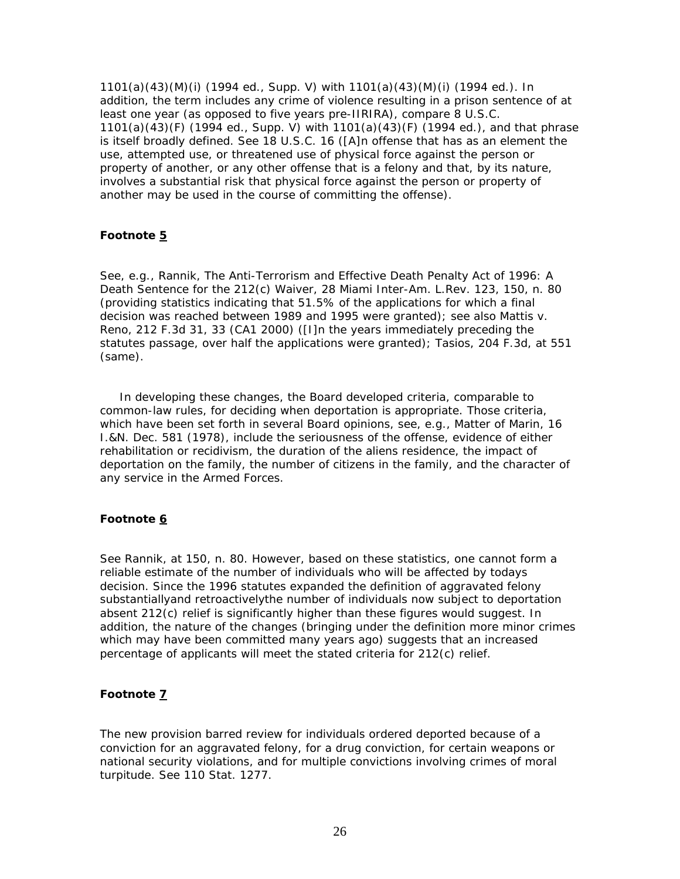1101(a)(43)(M)(i) (1994 ed., Supp. V) with 1101(a)(43)(M)(i) (1994 ed.). In addition, the term includes any crime of violence resulting in a prison sentence of at least one year (as opposed to five years pre-IIRIRA), compare 8 U.S.C. 1101(a)(43)(F) (1994 ed., Supp. V) with 1101(a)(43)(F) (1994 ed.), and that phrase is itself broadly defined. See 18 U.S.C. 16 ([A]n offense that has as an element the use, attempted use, or threatened use of physical force against the person or property of another, or any other offense that is a felony and that, by its nature, involves a substantial risk that physical force against the person or property of another may be used in the course of committing the offense).

### **Footnote 5**

See, *e.g.*, Rannik, The Anti-Terrorism and Effective Death Penalty Act of 1996: A Death Sentence for the 212(c) Waiver, 28 Miami Inter-Am. L.Rev. 123, 150, n. 80 (providing statistics indicating that 51.5% of the applications for which a final decision was reached between 1989 and 1995 were granted); see also *Mattis* v. *Reno*, 212 F.3d 31, 33 (CA1 2000) ([I]n the years immediately preceding the statutes passage, over half the applications were granted); *Tasios*, 204 F.3d, at 551 (same).

 In developing these changes, the Board developed criteria, comparable to common-law rules, for deciding when deportation is appropriate. Those criteria, which have been set forth in several Board opinions, see, *e.g.*, *Matter of Marin*, 16 I.&N. Dec. 581 (1978), include the seriousness of the offense, evidence of either rehabilitation or recidivism, the duration of the aliens residence, the impact of deportation on the family, the number of citizens in the family, and the character of any service in the Armed Forces.

# **Footnote 6**

See Rannik, at 150, n. 80. However, based on these statistics, one cannot form a reliable estimate of the number of individuals who will be affected by todays decision. Since the 1996 statutes expanded the definition of aggravated felony substantiallyand retroactivelythe number of individuals now subject to deportation absent 212(c) relief is significantly higher than these figures would suggest. In addition, the nature of the changes (bringing under the definition more minor crimes which may have been committed many years ago) suggests that an increased percentage of applicants will meet the stated criteria for 212(c) relief.

## **Footnote 7**

The new provision barred review for individuals ordered deported because of a conviction for an aggravated felony, for a drug conviction, for certain weapons or national security violations, and for multiple convictions involving crimes of moral turpitude. See 110 Stat. 1277.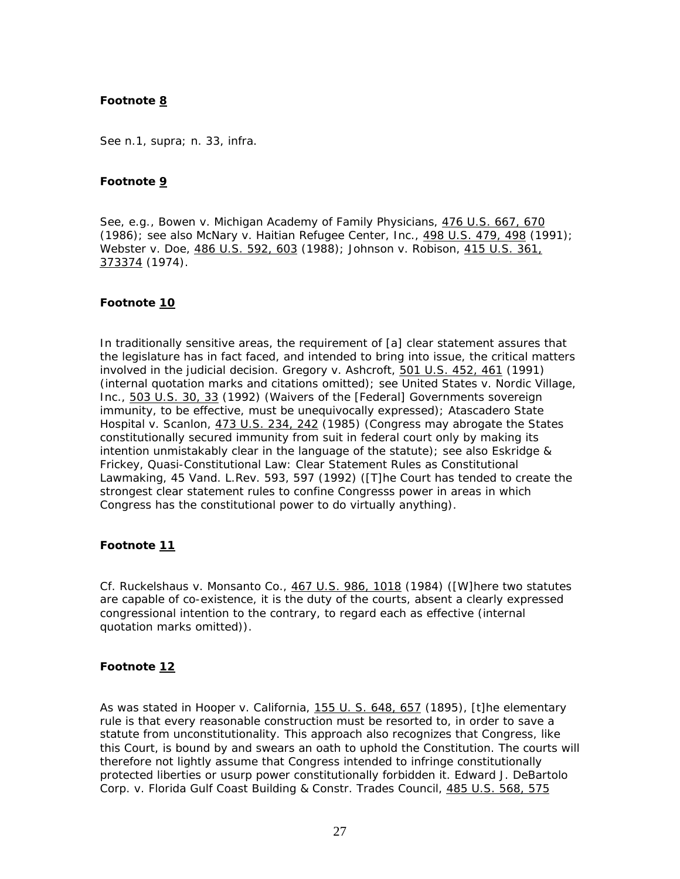### **Footnote 8**

See n.1, *supra*; n. 33, *infra*.

### **Footnote 9**

See, *e.g.*, *Bowen* v. *Michigan Academy of Family Physicians*, 476 U.S. 667, 670 (1986); see also *McNary* v. *Haitian Refugee Center, Inc.*, 498 U.S. 479, 498 (1991); *Webster* v. *Doe*, 486 U.S. 592, 603 (1988); *Johnson* v. *Robison*, 415 U.S. 361, 373374 (1974).

#### **Footnote 10**

In traditionally sensitive areas, the requirement of [a] clear statement assures that the legislature has in fact faced, and intended to bring into issue, the critical matters involved in the judicial decision. *Gregory* v. *Ashcroft*, 501 U.S. 452, 461 (1991) (internal quotation marks and citations omitted); see *United States* v. *Nordic Village,* Inc., 503 U.S. 30, 33 (1992) (Waivers of the [Federal] Governments sovereign immunity, to be effective, must be unequivocally expressed); *Atascadero State Hospital* v. *Scanlon*, 473 U.S. 234, 242 (1985) (Congress may abrogate the States constitutionally secured immunity from suit in federal court only by making its intention unmistakably clear in the language of the statute); see also Eskridge  $\&$ Frickey, Quasi-Constitutional Law: Clear Statement Rules as Constitutional Lawmaking, 45 Vand. L.Rev. 593, 597 (1992) ([T]he Court has tended to create the strongest clear statement rules to confine Congresss power in areas in which Congress has the constitutional power to do virtually anything).

## **Footnote 11**

Cf. *Ruckelshaus* v. *Monsanto Co.*, 467 U.S. 986, 1018 (1984) ([W]here two statutes are capable of co-existence, it is the duty of the courts, absent a clearly expressed congressional intention to the contrary, to regard each as effective (internal quotation marks omitted)).

#### **Footnote 12**

As was stated in *Hooper* v. *California*, 155 U. S. 648, 657 (1895), [t]he elementary rule is that every reasonable construction must be resorted to, in order to save a statute from unconstitutionality. This approach also recognizes that Congress, like this Court, is bound by and swears an oath to uphold the Constitution. The courts will therefore not lightly assume that Congress intended to infringe constitutionally protected liberties or usurp power constitutionally forbidden it. *Edward J. DeBartolo Corp.* v. *Florida Gulf Coast Building & Constr. Trades Council*, 485 U.S. 568, 575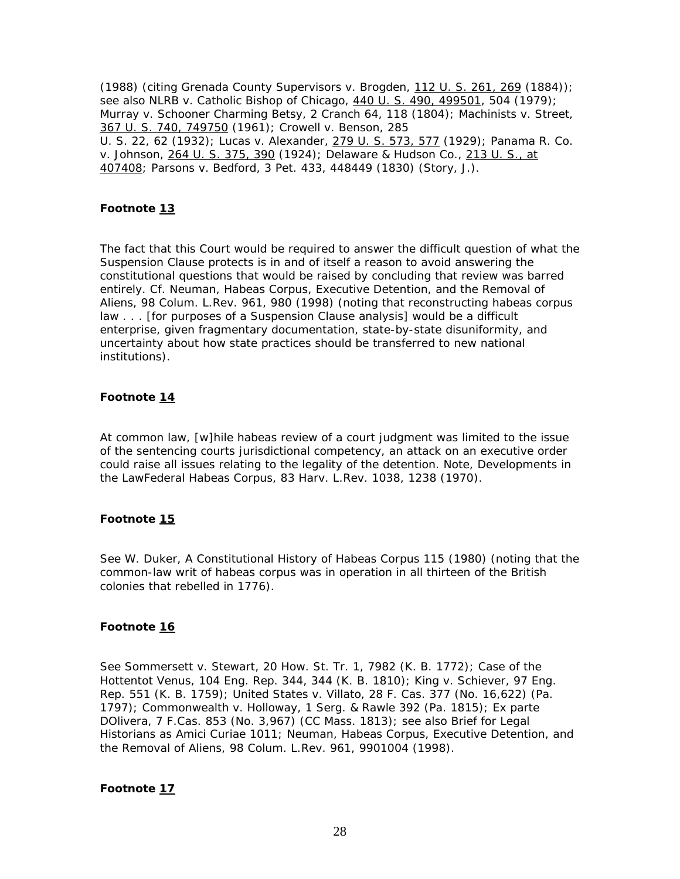(1988) (citing *Grenada County Supervisors* v. *Brogden*, 112 U. S. 261, 269 (1884)); see also *NLRB* v. *Catholic Bishop of Chicago*, 440 U. S. 490, 499501, 504 (1979); *Murray* v. *Schooner Charming Betsy*, 2 Cranch 64, 118 (1804); *Machinists* v. *Street*, 367 U. S. 740, 749750 (1961); *Crowell* v. *Benson*, 285 U. S. 22, 62 (1932); *Lucas* v. *Alexander*, 279 U. S. 573, 577 (1929); *Panama R. Co.* v. *Johnson*, 264 U. S. 375, 390 (1924); *Delaware & Hudson Co.*, 213 U. S., at 407408; *Parsons* v. *Bedford*, 3 Pet. 433, 448449 (1830) (Story, J.).

## **Footnote 13**

The fact that this Court would be required to answer the difficult question of what the Suspension Clause protects is in and of itself a reason to avoid answering the constitutional questions that would be raised by concluding that review was barred entirely. Cf. Neuman, Habeas Corpus, Executive Detention, and the Removal of Aliens, 98 Colum. L.Rev. 961, 980 (1998) (noting that reconstructing habeas corpus law . . . [for purposes of a Suspension Clause analysis] would be a difficult enterprise, given fragmentary documentation, state-by-state disuniformity, and uncertainty about how state practices should be transferred to new national institutions).

## **Footnote 14**

At common law, [w]hile habeas review of a court judgment was limited to the issue of the sentencing courts jurisdictional competency, an attack on an executive order could raise all issues relating to the legality of the detention. Note, Developments in the LawFederal Habeas Corpus, 83 Harv. L.Rev. 1038, 1238 (1970).

### **Footnote 15**

See W. Duker, A Constitutional History of Habeas Corpus 115 (1980) (noting that the common-law writ of habeas corpus was in operation in all thirteen of the British colonies that rebelled in 1776).

### **Footnote 16**

See *Sommersett* v. *Stewart*, 20 How. St. Tr. 1, 7982 (K. B. 1772); *Case of the Hottentot Venus*, 104 Eng. Rep. 344, 344 (K. B. 1810); *King* v. *Schiever,* 97 Eng. Rep. 551 (K. B. 1759); *United States* v. *Villato*, 28 F. Cas. 377 (No. 16,622) (Pa. 1797); *Commonwealth* v. *Holloway*, 1 Serg. & Rawle 392 (Pa. 1815); *Ex parte DOlivera*, 7 F.Cas. 853 (No. 3,967) (CC Mass. 1813); see also Brief for Legal Historians as *Amici Curiae* 1011; Neuman, Habeas Corpus, Executive Detention, and the Removal of Aliens, 98 Colum. L.Rev. 961, 9901004 (1998).

### **Footnote 17**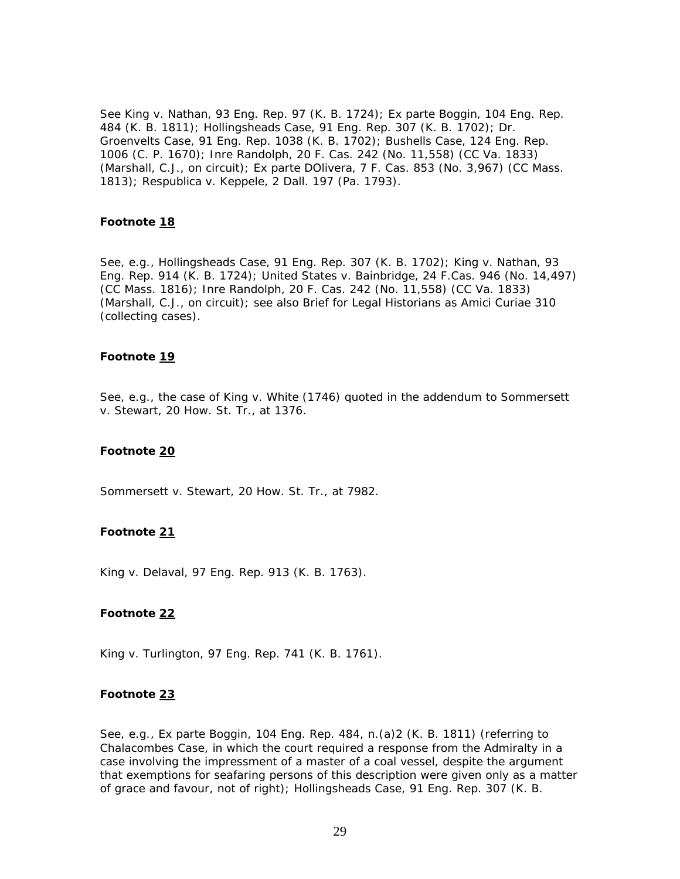See *King* v. *Nathan*, 93 Eng. Rep. 97 (K. B. 1724); *Ex parte Boggin*, 104 Eng. Rep. 484 (K. B. 1811); *Hollingsheads Case*, 91 Eng. Rep. 307 (K. B. 1702); *Dr. Groenvelts Case*, 91 Eng. Rep. 1038 (K. B. 1702); *Bushells Case*, 124 Eng. Rep. 1006 (C. P. 1670); *Inre Randolph*, 20 F. Cas. 242 (No. 11,558) (CC Va. 1833) (Marshall, C.J., on circuit); *Ex parte DOlivera*, 7 F. Cas. 853 (No. 3,967) (CC Mass. 1813); *Respublica* v. *Keppele*, 2 Dall. 197 (Pa. 1793).

### **Footnote 18**

See, *e.g.*, *Hollingsheads Case*, 91 Eng. Rep. 307 (K. B. 1702); *King* v. *Nathan*, 93 Eng. Rep. 914 (K. B. 1724); *United States* v. *Bainbridge*, 24 F.Cas. 946 (No. 14,497) (CC Mass. 1816); *Inre Randolph*, 20 F. Cas. 242 (No. 11,558) (CC Va. 1833) (Marshall, C.J., on circuit); see also Brief for Legal Historians as *Amici Curiae* 310 (collecting cases).

#### **Footnote 19**

See, *e.g*., the case of *King* v. *White* (1746) quoted in the addendum to *Sommersett* v. *Stewart*, 20 How. St. Tr., at 1376.

#### **Footnote 20**

*Sommersett* v. *Stewart*, 20 How. St. Tr., at 7982.

### **Footnote 21**

*King* v. *Delaval*, 97 Eng. Rep. 913 (K. B. 1763).

### **Footnote 22**

*King* v. *Turlington*, 97 Eng. Rep. 741 (K. B. 1761).

## **Footnote 23**

See, *e.g.*, *Ex parte Boggin*, 104 Eng. Rep. 484, n.(a)2 (K. B. 1811) (referring to *Chalacombes Case*, in which the court required a response from the Admiralty in a case involving the impressment of a master of a coal vessel, despite the argument that exemptions for seafaring persons of this description were given only as a matter of grace and favour, not of right); *Hollingsheads Case*, 91 Eng. Rep. 307 (K. B.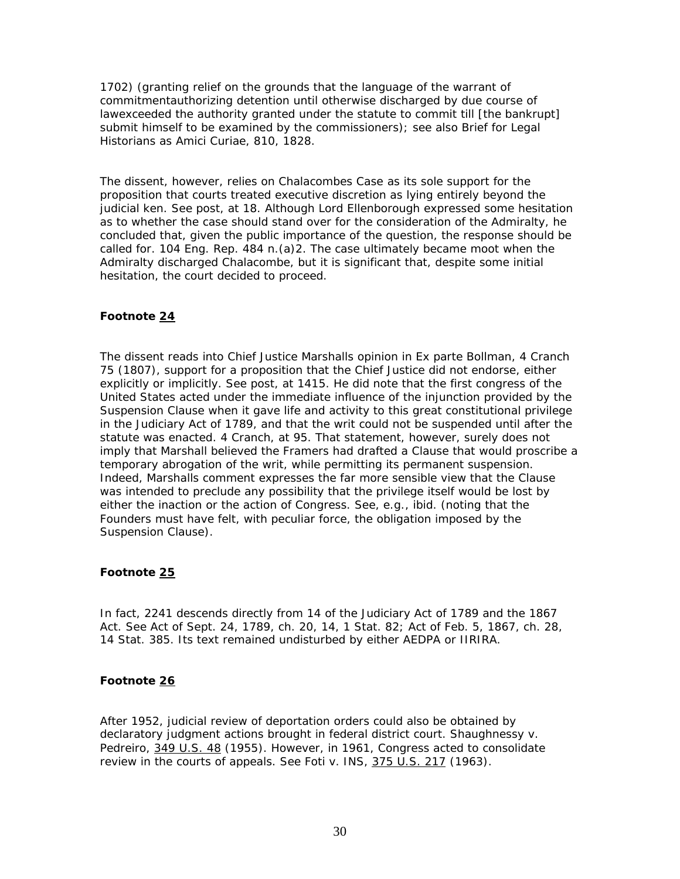1702) (granting relief on the grounds that the language of the warrant of commitmentauthorizing detention until otherwise discharged by due course of lawexceeded the authority granted under the statute to commit till [the bankrupt] submit himself to be examined by the commissioners); see also Brief for Legal Historians as *Amici Curiae*, 810, 1828.

The dissent, however, relies on *Chalacombes Case* as its sole support for the proposition that courts treated executive discretion as lying entirely beyond the judicial ken. See *post*, at 18. Although Lord Ellenborough expressed some hesitation as to whether the case should stand over for the consideration of the Admiralty, he concluded that, given the public importance of the question, the response should be called for. 104 Eng. Rep. 484 n.(a)2. The case ultimately became moot when the Admiralty discharged Chalacombe, but it is significant that, despite some initial hesitation, the court decided to proceed.

### **Footnote 24**

The dissent reads into Chief Justice Marshalls opinion in *Ex parte Bollman*, 4 Cranch 75 (1807), support for a proposition that the Chief Justice did not endorse, either explicitly or implicitly. See *post*, at 1415. He did note that the first congress of the United States acted under the immediate influence of the injunction provided by the Suspension Clause when it gave life and activity to this great constitutional privilege in the Judiciary Act of 1789, and that the writ could not be suspended until after the statute was enacted. 4 Cranch*,* at 95. That statement, however, surely does not imply that Marshall believed the Framers had drafted a Clause that would proscribe a temporary abrogation of the writ, while permitting its permanent suspension. Indeed, Marshalls comment expresses the far more sensible view that the Clause was intended to preclude any possibility that the privilege itself would be lost by either the inaction or the action of Congress. See, *e.g.*, *ibid.* (noting that the Founders must have felt, with peculiar force, the obligation imposed by the Suspension Clause).

### **Footnote 25**

In fact, 2241 descends directly from 14 of the Judiciary Act of 1789 and the 1867 Act. See Act of Sept. 24, 1789, ch. 20, 14, 1 Stat. 82; Act of Feb. 5, 1867, ch. 28, 14 Stat. 385. Its text remained undisturbed by either AEDPA or IIRIRA.

### **Footnote 26**

After 1952, judicial review of deportation orders could also be obtained by declaratory judgment actions brought in federal district court. *Shaughnessy* v. *Pedreiro*, 349 U.S. 48 (1955). However, in 1961, Congress acted to consolidate review in the courts of appeals. See *Foti* v. *INS*, 375 U.S. 217 (1963).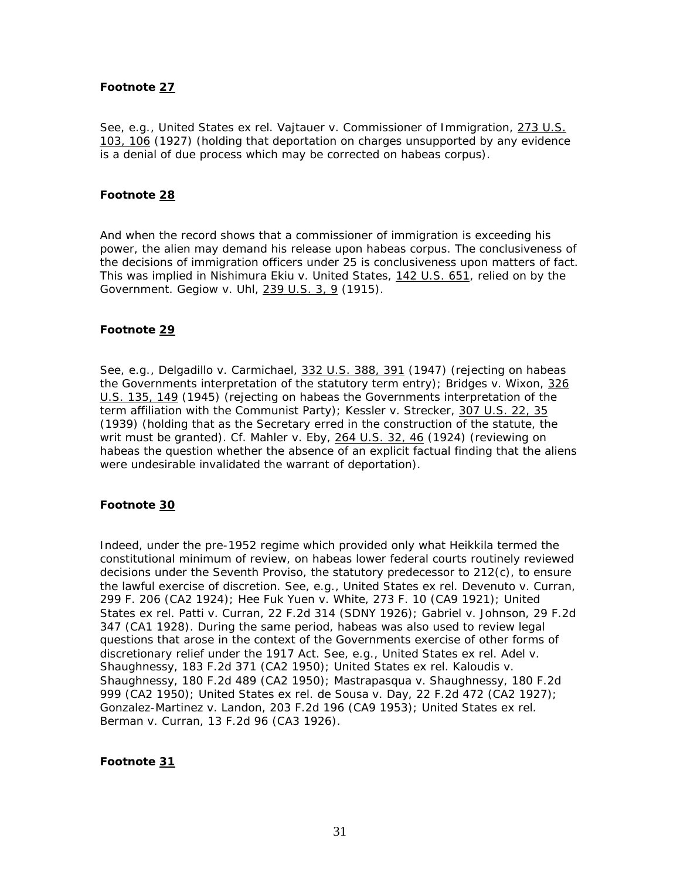#### **Footnote 27**

See, *e.g.*, *United States ex rel. Vajtauer* v. *Commissioner of Immigration*, 273 U.S. 103, 106 (1927) (holding that deportation on charges unsupported by any evidence is a denial of due process which may be corrected on *habeas corpus*).

### **Footnote 28**

And when the record shows that a commissioner of immigration is exceeding his power, the alien may demand his release upon *habeas corpus*. The conclusiveness of the decisions of immigration officers under 25 is conclusiveness upon matters of fact. This was implied in *Nishimura Ekiu* v. *United States*, 142 U.S. 651, relied on by the Government. *Gegiow* v. *Uhl*, 239 U.S. 3, 9 (1915).

### **Footnote 29**

See, *e.g.*, *Delgadillo* v. *Carmichael*, 332 U.S. 388, 391 (1947) (rejecting on habeas the Governments interpretation of the statutory term entry); *Bridges* v. *Wixon*, 326 U.S. 135, 149 (1945) (rejecting on habeas the Governments interpretation of the term affiliation with the Communist Party); *Kessler* v. *Strecker*, 307 U.S. 22, 35 (1939) (holding that as the Secretary erred in the construction of the statute, the writ must be granted). Cf. *Mahler* v. *Eby*, 264 U.S. 32, 46 (1924) (reviewing on habeas the question whether the absence of an explicit factual finding that the aliens were undesirable invalidated the warrant of deportation).

#### **Footnote 30**

Indeed, under the pre-1952 regime which provided only what *Heikkila* termed the constitutional minimum of review, on habeas lower federal courts routinely reviewed decisions under the Seventh Proviso, the statutory predecessor to 212(c), to ensure the lawful exercise of discretion. See, *e.g.*, *United States ex rel. Devenuto* v. *Curran*, 299 F. 206 (CA2 1924); *Hee Fuk Yuen* v. *White*, 273 F. 10 (CA9 1921); *United States ex rel. Patti* v. *Curran*, 22 F.2d 314 (SDNY 1926); *Gabriel* v. *Johnson*, 29 F.2d 347 (CA1 1928). During the same period, habeas was also used to review legal questions that arose in the context of the Governments exercise of other forms of discretionary relief under the 1917 Act. See, *e.g.*, *United States ex rel. Adel* v. *Shaughnessy*, 183 F.2d 371 (CA2 1950); *United States ex rel. Kaloudis* v. *Shaughnessy*, 180 F.2d 489 (CA2 1950); *Mastrapasqua* v. *Shaughnessy*, 180 F.2d 999 (CA2 1950); *United States ex rel. de Sousa* v. *Day*, 22 F.2d 472 (CA2 1927); *Gonzalez-Martinez* v. *Landon*, 203 F.2d 196 (CA9 1953); *United States ex rel. Berman* v. *Curran*, 13 F.2d 96 (CA3 1926).

#### **Footnote 31**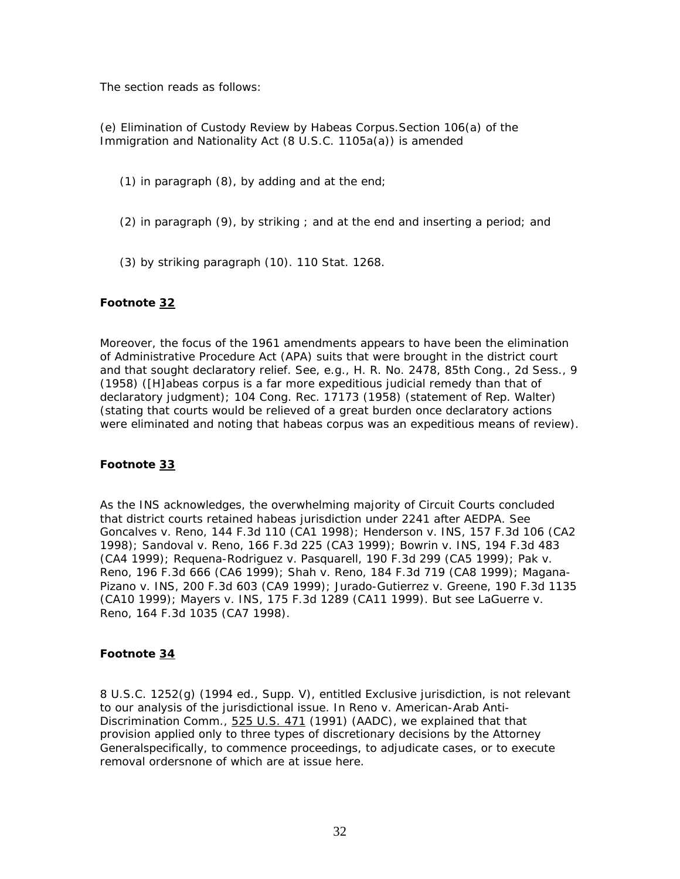The section reads as follows:

(e) *Elimination of Custody Review by Habeas Corpus*.Section 106(a) of the Immigration and Nationality Act  $(8 \text{ U.S.C. } 1105a(a))$  is amended

(1) in paragraph (8), by adding and at the end;

- (2) in paragraph (9), by striking ; and at the end and inserting a period; and
- (3) by striking paragraph (10). 110 Stat. 1268.

### **Footnote 32**

Moreover, the focus of the 1961 amendments appears to have been the elimination of Administrative Procedure Act (APA) suits that were brought in the district court and that sought declaratory relief. See, *e.g.*, H. R. No. 2478, 85th Cong., 2d Sess., 9 (1958) ([H]abeas corpus is a far more expeditious judicial remedy than that of declaratory judgment); 104 Cong. Rec. 17173 (1958) (statement of Rep. Walter) (stating that courts would be relieved of a great burden once declaratory actions were eliminated and noting that habeas corpus was an expeditious means of review).

### **Footnote 33**

As the INS acknowledges, the overwhelming majority of Circuit Courts concluded that district courts retained habeas jurisdiction under 2241 after AEDPA. See *Goncalves* v. *Reno*, 144 F.3d 110 (CA1 1998); *Henderson* v. *INS*, 157 F.3d 106 (CA2 1998); *Sandoval* v. *Reno*, 166 F.3d 225 (CA3 1999); *Bowrin* v. *INS*, 194 F.3d 483 (CA4 1999); *Requena-Rodriguez* v. *Pasquarell*, 190 F.3d 299 (CA5 1999); *Pak* v. *Reno*, 196 F.3d 666 (CA6 1999); *Shah* v. *Reno*, 184 F.3d 719 (CA8 1999); *Magana-Pizano* v. *INS*, 200 F.3d 603 (CA9 1999); *Jurado-Gutierrez* v. *Greene*, 190 F.3d 1135 (CA10 1999); *Mayers* v. *INS*, 175 F.3d 1289 (CA11 1999). But see *LaGuerre* v. *Reno*, 164 F.3d 1035 (CA7 1998).

#### **Footnote 34**

8 U.S.C. 1252(g) (1994 ed., Supp. V), entitled Exclusive jurisdiction, is not relevant to our analysis of the jurisdictional issue. In *Reno* v. *American-Arab Anti-Discrimination Comm.*, 525 U.S. 471 (1991) (*AADC*), we explained that that provision applied only to three types of discretionary decisions by the Attorney Generalspecifically, to commence proceedings, to adjudicate cases, or to execute removal ordersnone of which are at issue here.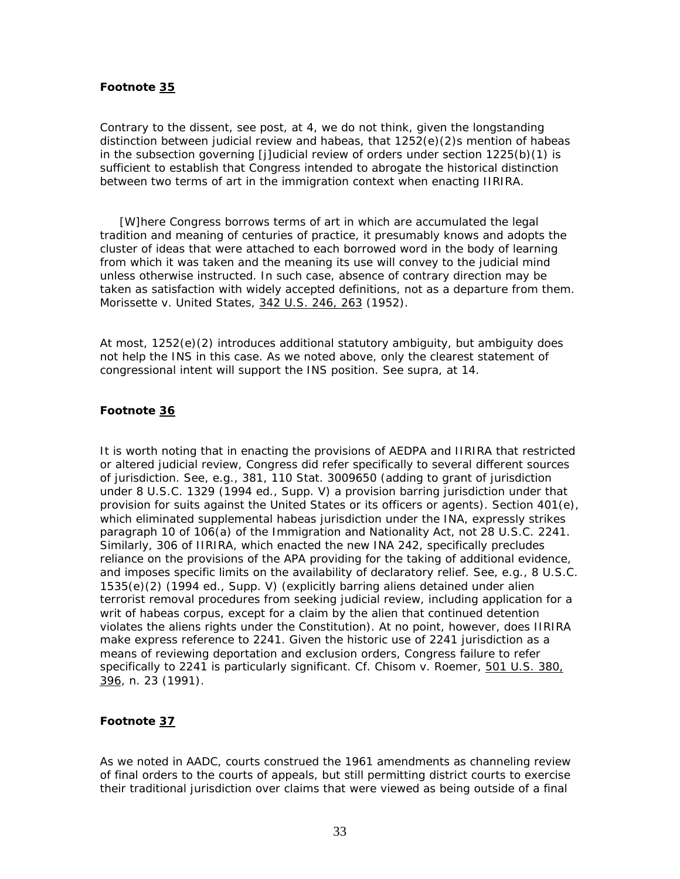#### **Footnote 35**

Contrary to the dissent, see *post*, at 4, we do not think, given the longstanding distinction between judicial review and habeas, that  $1252(e)(2)s$  mention of habeas in the subsection governing [j]udicial review of orders under section  $1225(b)(1)$  is sufficient to establish that Congress intended to abrogate the historical distinction between two terms of art in the immigration context when enacting IIRIRA.

 [W]here Congress borrows terms of art in which are accumulated the legal tradition and meaning of centuries of practice, it presumably knows and adopts the cluster of ideas that were attached to each borrowed word in the body of learning from which it was taken and the meaning its use will convey to the judicial mind unless otherwise instructed. In such case, absence of contrary direction may be taken as satisfaction with widely accepted definitions, not as a departure from them. *Morissette* v. *United States*, 342 U.S. 246, 263 (1952).

At most,  $1252(e)(2)$  introduces additional statutory ambiguity, but ambiguity does not help the INS in this case. As we noted above, only the clearest statement of congressional intent will support the INS position. See *supra*, at 14.

### **Footnote 36**

It is worth noting that in enacting the provisions of AEDPA and IIRIRA that restricted or altered judicial review, Congress did refer specifically to several different sources of jurisdiction. See, *e.g.,* 381, 110 Stat. 3009650 (adding to grant of jurisdiction under 8 U.S.C. 1329 (1994 ed., Supp. V) a provision barring jurisdiction under that provision for suits against the United States or its officers or agents). Section 401(e), which eliminated supplemental habeas jurisdiction under the INA, expressly strikes paragraph 10 of 106(a) of the Immigration and Nationality Act, *not* 28 U.S.C. 2241. Similarly, 306 of IIRIRA, which enacted the new INA 242, specifically precludes reliance on the provisions of the APA providing for the taking of additional evidence, and imposes specific limits on the availability of declaratory relief. See, *e.g.*, 8 U.S.C. 1535(e)(2) (1994 ed., Supp. V) (explicitly barring aliens detained under alien terrorist removal procedures from seeking judicial review, including application for a writ of habeas corpus, except for a claim by the alien that continued detention violates the aliens rights under the Constitution). At no point, however, does IIRIRA make express reference to 2241. Given the historic use of 2241 jurisdiction as a means of reviewing deportation and exclusion orders, Congress failure to refer specifically to 2241 is particularly significant. Cf. *Chisom* v. *Roemer*, 501 U.S. 380, 396, n. 23 (1991).

## **Footnote 37**

As we noted in *AADC*, courts construed the 1961 amendments as channeling review of final orders to the courts of appeals, but still permitting district courts to exercise their traditional jurisdiction over claims that were viewed as being outside of a final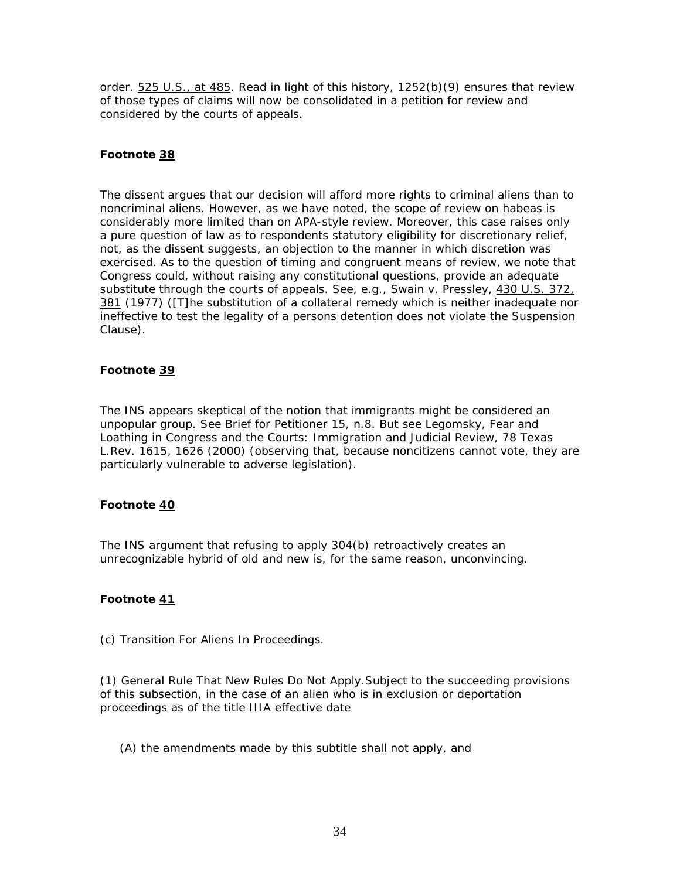order. 525 U.S., at 485. Read in light of this history, 1252(b)(9) ensures that review of those types of claims will now be consolidated in a petition for review and considered by the courts of appeals.

## **Footnote 38**

The dissent argues that our decision will afford more rights to criminal aliens than to noncriminal aliens. However, as we have noted, the scope of review on habeas is considerably more limited than on APA-style review. Moreover, this case raises only a pure question of law as to respondents statutory eligibility for discretionary relief, not, as the dissent suggests, an objection to the manner in which discretion was exercised. As to the question of timing and congruent means of review, we note that Congress could, without raising any constitutional questions, provide an adequate substitute through the courts of appeals. See, *e.g., Swain* v. *Pressley*, 430 U.S. 372, 381 (1977) ([T]he substitution of a collateral remedy which is neither inadequate nor ineffective to test the legality of a persons detention does not violate the Suspension Clause).

### **Footnote 39**

The INS appears skeptical of the notion that immigrants might be considered an unpopular group. See Brief for Petitioner 15, n.8. But see Legomsky, Fear and Loathing in Congress and the Courts: Immigration and Judicial Review, 78 Texas L.Rev. 1615, 1626 (2000) (observing that, because noncitizens cannot vote, they are particularly vulnerable to adverse legislation).

### **Footnote 40**

The INS argument that refusing to apply 304(b) retroactively creates an unrecognizable hybrid of old and new is, for the same reason, unconvincing.

# **Footnote 41**

(c) *Transition For Aliens In Proceedings.*

(1) General Rule That New Rules Do Not Apply.Subject to the succeeding provisions of this subsection, in the case of an alien who is in exclusion or deportation proceedings as of the title IIIA effective date

(A) the amendments made by this subtitle shall not apply, and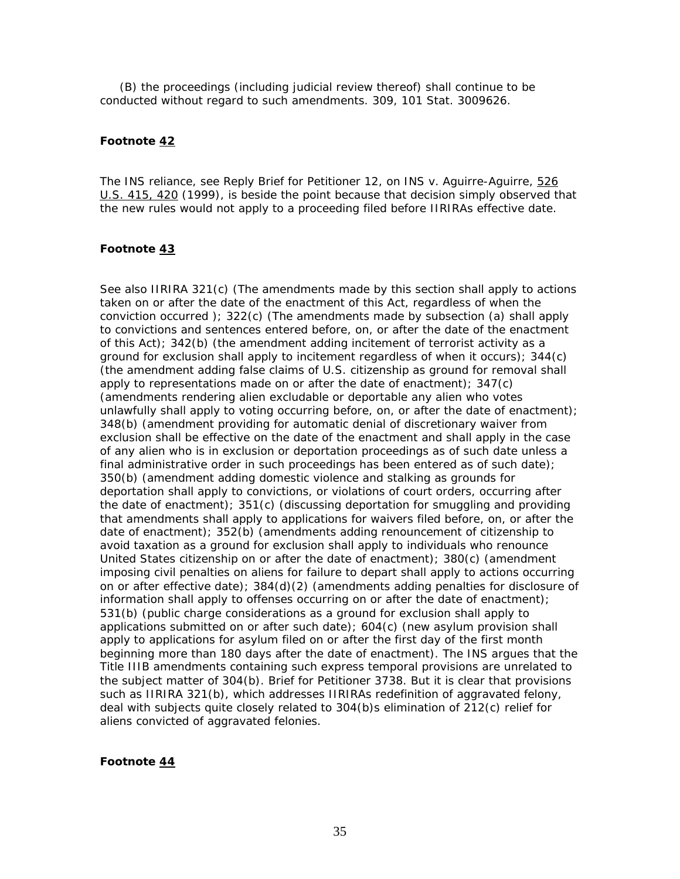(B) the proceedings (including judicial review thereof) shall continue to be conducted without regard to such amendments. 309, 101 Stat. 3009626.

#### **Footnote 42**

The INS reliance, see Reply Brief for Petitioner 12, on *INS* v. *Aguirre-Aguirre,* 526 U.S. 415, 420 (1999), is beside the point because that decision simply observed that the new rules would not apply to a proceeding filed *before* IIRIRAs effective date.

#### **Footnote 43**

See also IIRIRA  $321(c)$  (The amendments made by this section shall apply to actions taken on or after the date of the enactment of this Act, regardless of when the conviction occurred ); 322(c) (The amendments made by subsection (a) shall apply to convictions and sentences entered before, on, or after the date of the enactment of this Act); 342(b) (the amendment adding incitement of terrorist activity as a ground for exclusion shall apply to incitement regardless of when it occurs); 344(c) (the amendment adding false claims of U.S. citizenship as ground for removal shall apply to representations made on or after the date of enactment); 347(c) (amendments rendering alien excludable or deportable any alien who votes unlawfully shall apply to voting occurring before, on, or after the date of enactment); 348(b) (amendment providing for automatic denial of discretionary waiver from exclusion shall be effective on the date of the enactment and shall apply in the case of any alien who is in exclusion or deportation proceedings as of such date unless a final administrative order in such proceedings has been entered as of such date); 350(b) (amendment adding domestic violence and stalking as grounds for deportation shall apply to convictions, or violations of court orders, occurring after the date of enactment); 351(c) (discussing deportation for smuggling and providing that amendments shall apply to applications for waivers filed before, on, or after the date of enactment);  $352(b)$  (amendments adding renouncement of citizenship to avoid taxation as a ground for exclusion shall apply to individuals who renounce United States citizenship on or after the date of enactment); 380(c) (amendment imposing civil penalties on aliens for failure to depart shall apply to actions occurring on or after effective date); 384(d)(2) (amendments adding penalties for disclosure of information shall apply to offenses occurring on or after the date of enactment); 531(b) (public charge considerations as a ground for exclusion shall apply to applications submitted on or after such date); 604(c) (new asylum provision shall apply to applications for asylum filed on or after the first day of the first month beginning more than 180 days after the date of enactment). The INS argues that the Title IIIB amendments containing such express temporal provisions are unrelated to the subject matter of 304(b). Brief for Petitioner 3738. But it is clear that provisions such as IIRIRA 321(b), which addresses IIRIRAs redefinition of aggravated felony, deal with subjects quite closely related to 304(b)s elimination of 212(c) relief for aliens convicted of aggravated felonies.

#### **Footnote 44**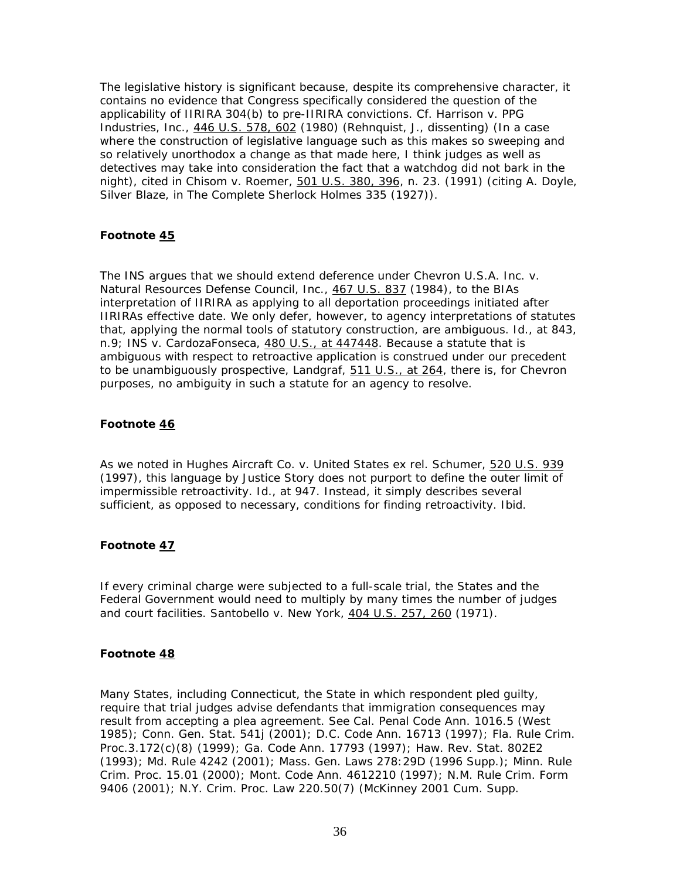The legislative history is significant because, despite its comprehensive character, it contains no evidence that Congress specifically considered the question of the applicability of IIRIRA 304(b) to pre-IIRIRA convictions. Cf. *Harrison* v. *PPG Industries, Inc.,* 446 U.S. 578, 602 (1980) (*Rehnquist, J.*, dissenting) (In a case where the construction of legislative language such as this makes so sweeping and so relatively unorthodox a change as that made here, I think judges as well as detectives may take into consideration the fact that a watchdog did not bark in the night), cited in *Chisom* v. *Roemer,* 501 U.S. 380, 396, n. 23. (1991) (citing A. Doyle, Silver Blaze, in The Complete Sherlock Holmes 335 (1927)).

## **Footnote 45**

The INS argues that we should extend deference under *Chevron U.S.A. Inc.* v. *Natural Resources Defense Council, Inc.,* 467 U.S. 837 (1984), to the BIAs interpretation of IIRIRA as applying to all deportation proceedings initiated after IIRIRAs effective date. We only defer, however, to agency interpretations of statutes that, applying the normal tools of statutory construction, are ambiguous. *Id.*, at 843, n.9; *INS* v. *CardozaFonseca,* 480 U.S., at 447448. Because a statute that is ambiguous with respect to retroactive application is construed under our precedent to be unambiguously prospective, *Landgraf*, 511 U.S., at 264, there is, for *Chevron* purposes, no ambiguity in such a statute for an agency to resolve.

### **Footnote 46**

As we noted in *Hughes Aircraft Co.* v. *United States ex rel. Schumer,* 520 U.S. 939 (1997), this language by Justice Story does not purport to define the outer limit of impermissible retroactivity. *Id.*, at 947. Instead, it simply describes several *sufficient*, as opposed to *necessary*, conditions for finding retroactivity. *Ibid.*

### **Footnote 47**

If every criminal charge were subjected to a full-scale trial, the States and the Federal Government would need to multiply by many times the number of judges and court facilities. *Santobello* v. *New York,* 404 U.S. 257, 260 (1971).

### **Footnote 48**

Many States, including Connecticut, the State in which respondent pled guilty, require that trial judges advise defendants that immigration consequences may result from accepting a plea agreement. See Cal. Penal Code Ann. 1016.5 (West 1985); Conn. Gen. Stat. 541j (2001); D.C. Code Ann. 16713 (1997); Fla. Rule Crim. Proc.3.172(c)(8) (1999); Ga. Code Ann. 17793 (1997); Haw. Rev. Stat. 802E2 (1993); Md. Rule 4242 (2001); Mass. Gen. Laws 278:29D (1996 Supp.); Minn. Rule Crim. Proc. 15.01 (2000); Mont. Code Ann. 4612210 (1997); N.M. Rule Crim. Form 9406 (2001); N.Y. Crim. Proc. Law 220.50(7) (McKinney 2001 Cum. Supp.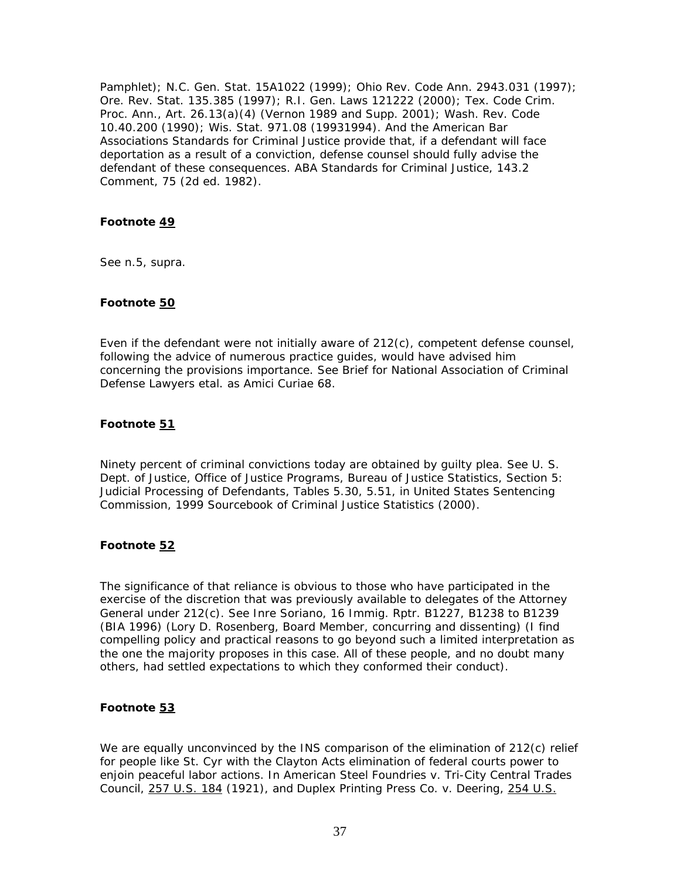Pamphlet); N.C. Gen. Stat. 15A1022 (1999); Ohio Rev. Code Ann. 2943.031 (1997); Ore. Rev. Stat. 135.385 (1997); R.I. Gen. Laws 121222 (2000); Tex. Code Crim. Proc. Ann., Art. 26.13(a)(4) (Vernon 1989 and Supp. 2001); Wash. Rev. Code 10.40.200 (1990); Wis. Stat. 971.08 (19931994). And the American Bar Associations Standards for Criminal Justice provide that, if a defendant will face deportation as a result of a conviction, defense counsel should fully advise the defendant of these consequences. ABA Standards for Criminal Justice, 143.2 Comment, 75 (2d ed. 1982).

#### **Footnote 49**

See n.5, *supra*.

#### **Footnote 50**

Even if the defendant were not initially aware of 212(c), competent defense counsel, following the advice of numerous practice guides, would have advised him concerning the provisions importance. See Brief for National Association of Criminal Defense Lawyers etal. as *Amici Curiae* 68.

#### **Footnote 51**

Ninety percent of criminal convictions today are obtained by guilty plea. See U. S. Dept. of Justice, Office of Justice Programs, Bureau of Justice Statistics, Section 5: Judicial Processing of Defendants, Tables 5.30, 5.51, in United States Sentencing Commission, 1999 Sourcebook of Criminal Justice Statistics (2000).

#### **Footnote 52**

The significance of that reliance is obvious to those who have participated in the exercise of the discretion that was previously available to delegates of the Attorney General under 212(c). See *Inre Soriano*, 16 Immig. Rptr. B1227, B1238 to B1239 (BIA 1996) (Lory D. Rosenberg, Board Member, concurring and dissenting) (I find compelling policy and practical reasons to go beyond such a limited interpretation as the one the majority proposes in this case. All of these people, and no doubt many others, had settled expectations to which they conformed their conduct).

# **Footnote 53**

We are equally unconvinced by the INS comparison of the elimination of 212(c) relief for people like St. Cyr with the Clayton Acts elimination of federal courts power to enjoin peaceful labor actions. In *American Steel Foundries* v. *Tri-City Central Trades Council,* 257 U.S. 184 (1921), and *Duplex Printing Press Co.* v. *Deering,* 254 U.S.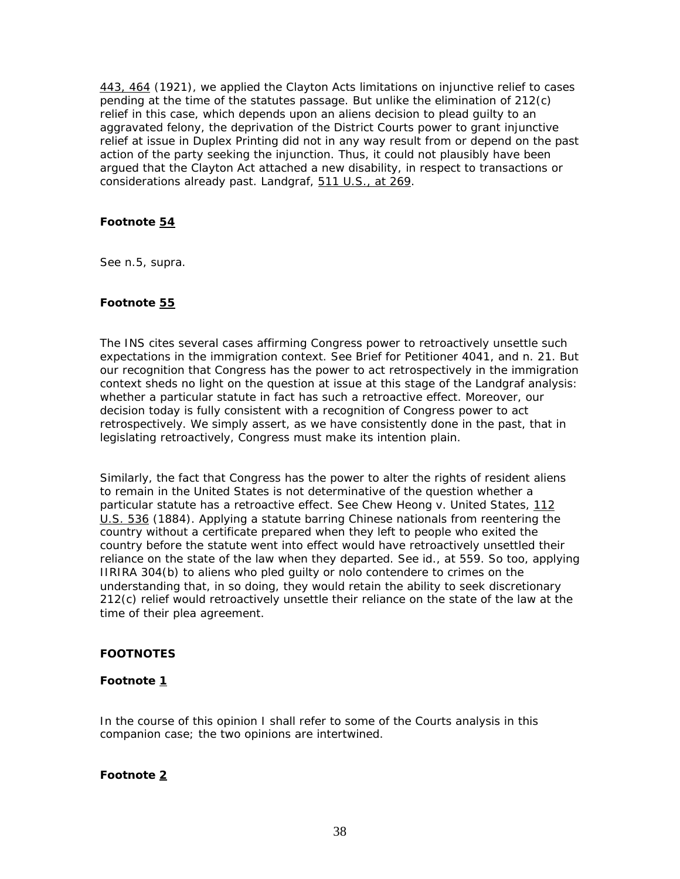443, 464 (1921), we applied the Clayton Acts limitations on injunctive relief to cases pending at the time of the statutes passage. But unlike the elimination of  $212(c)$ relief in this case, which depends upon an aliens decision to plead guilty to an aggravated felony, the deprivation of the District Courts power to grant injunctive relief at issue in *Duplex Printing* did not in any way result from or depend on the past action of the party seeking the injunction. Thus, it could not plausibly have been argued that the Clayton Act attached a new disability, in respect to transactions or considerations already past. *Landgraf*, 511 U.S., at 269.

## **Footnote 54**

See n.5, *supra*.

## **Footnote 55**

The INS cites several cases affirming Congress power to retroactively unsettle such expectations in the immigration context. See Brief for Petitioner 4041, and n. 21. But our recognition that Congress has the power to act retrospectively in the immigration context sheds no light on the question at issue at this stage of the *Landgraf* analysis: whether a particular statute in fact has such a retroactive effect. Moreover, our decision today is fully consistent with a recognition of Congress power to act retrospectively. We simply assert, as we have consistently done in the past, that in legislating retroactively, Congress must make its intention plain.

Similarly, the fact that Congress has the power to alter the rights of resident aliens to remain in the United States is not determinative of the question whether a particular statute has a retroactive effect. See *Chew Heong* v. *United States,* 112 U.S. 536 (1884). Applying a statute barring Chinese nationals from reentering the country without a certificate prepared when they left to people who exited the country before the statute went into effect would have retroactively unsettled their reliance on the state of the law when they departed. See *id.*, at 559. So too, applying IIRIRA 304(b) to aliens who pled guilty or *nolo contendere* to crimes on the understanding that, in so doing, they would retain the ability to seek discretionary 212(c) relief would retroactively unsettle their reliance on the state of the law at the time of their plea agreement.

# **FOOTNOTES**

# **Footnote 1**

In the course of this opinion I shall refer to some of the Courts analysis in this companion case; the two opinions are intertwined.

## **Footnote 2**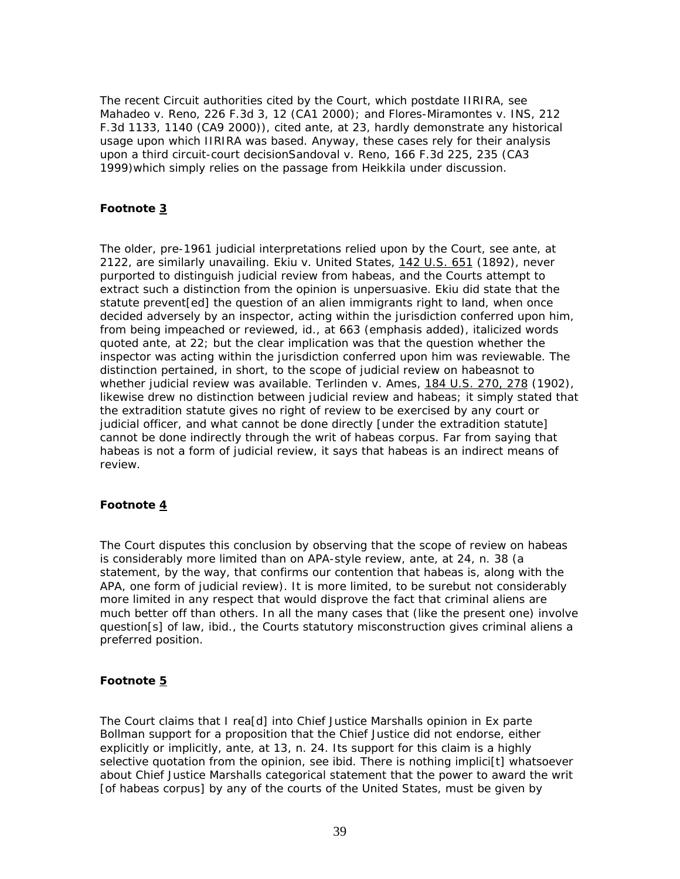The recent Circuit authorities cited by the Court, which postdate IIRIRA, see *Mahadeo* v. *Reno*, 226 F.3d 3, 12 (CA1 2000); and *Flores-Miramontes* v. *INS*, 212 F.3d 1133, 1140 (CA9 2000)), cited *ante*, at 23, hardly demonstrate any historical usage upon which IIRIRA was based. Anyway, these cases rely for their analysis upon a third circuit-court decision*Sandoval* v. *Reno*, 166 F.3d 225, 235 (CA3 1999)which simply relies on the passage from *Heikkila* under discussion.

## **Footnote 3**

The older, pre-1961 judicial interpretations relied upon by the Court, see *ante*, at 2122, are similarly unavailing. *Ekiu* v. *United States,* 142 U.S. 651 (1892), never purported to distinguish judicial review from habeas, and the Courts attempt to extract such a distinction from the opinion is unpersuasive. *Ekiu* did state that the statute prevent[ed] the question of an alien immigrants right to land, when once decided adversely by an inspector, acting within the jurisdiction conferred upon him, from being *impeached or reviewed*, *id.,* at 663 (emphasis added), italicized words quoted *ante*, at 22; but the clear implication was that the question whether the inspector was acting within the jurisdiction conferred upon him *was* reviewable. The distinction pertained, in short, to the *scope* of judicial review on habeasnot to whether judicial review was available. *Terlinden* v. *Ames,* 184 U.S. 270, 278 (1902), likewise drew no distinction between judicial review and habeas; it simply stated that the extradition statute gives no right of review to be exercised by any court or judicial officer, and what cannot be done directly [under the extradition statute] cannot be done indirectly through the writ of *habeas corpus*. Far from saying that habeas is *not* a form of judicial review, it says that habeas *is* an *indirect* means of review.

### **Footnote 4**

The Court disputes this conclusion by observing that the scope of review on habeas is considerably more limited than on APA-style review, *ante*, at 24, n. 38 (a statement, by the way, that confirms our contention that habeas is, along with the APA, one form of judicial review). It is more limited, to be surebut not considerably more limited in any respect that would disprove the fact that criminal aliens are much better off than others. In all the many cases that (like the present one) involve question[s] of law, *ibid*., the Courts statutory misconstruction gives criminal aliens a preferred position.

### **Footnote 5**

The Court claims that I rea[d] into Chief Justice Marshalls opinion in *Ex parte Bollman* support for a proposition that the Chief Justice did not endorse, either explicitly or implicitly, *ante*, at 13, n. 24. Its support for this claim is a highly selective quotation from the opinion, see *ibid*. There is nothing implici[t] whatsoever about Chief Justice Marshalls categorical statement that the power to award the writ [of habeas corpus] by any of the courts of the United States, must be given by